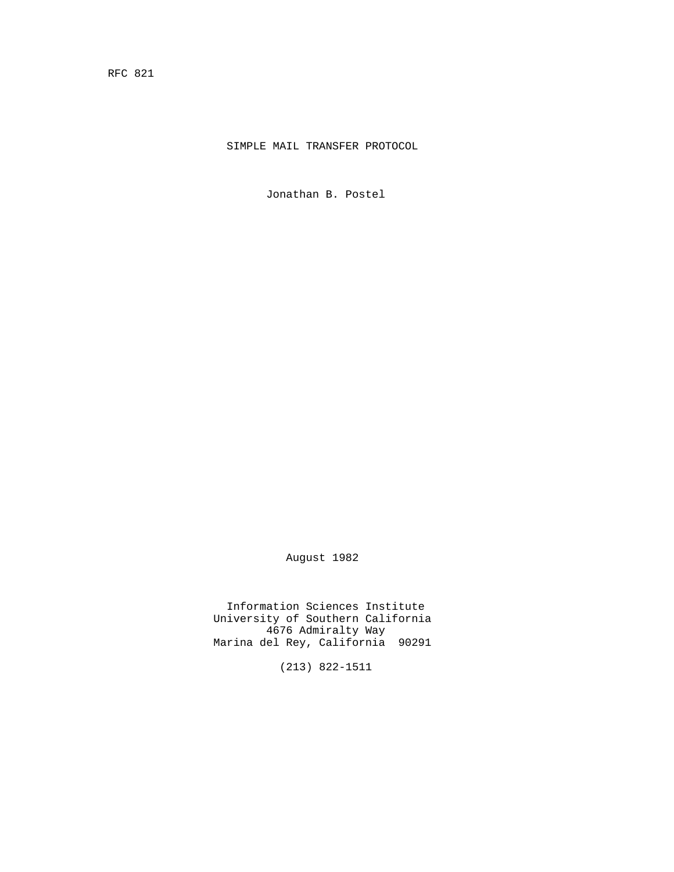RFC 821

SIMPLE MAIL TRANSFER PROTOCOL

Jonathan B. Postel

August 1982

 Information Sciences Institute University of Southern California 4676 Admiralty Way Marina del Rey, California 90291

(213) 822-1511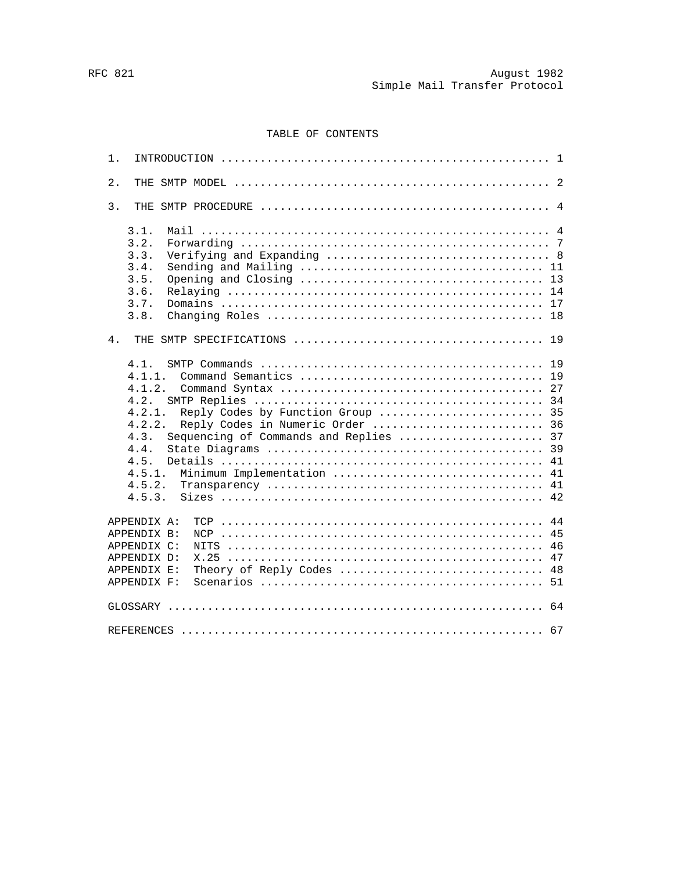# TABLE OF CONTENTS

| 1. |                                                                                                               |                                                                                                                                   |  |  |  |                            |
|----|---------------------------------------------------------------------------------------------------------------|-----------------------------------------------------------------------------------------------------------------------------------|--|--|--|----------------------------|
| 2. |                                                                                                               |                                                                                                                                   |  |  |  |                            |
| 3. |                                                                                                               |                                                                                                                                   |  |  |  |                            |
|    | 3.1.<br>3.2.<br>3.3.<br>3.4.<br>3.5.<br>3.6.<br>3.7.<br>3.8.                                                  |                                                                                                                                   |  |  |  |                            |
| 4. |                                                                                                               |                                                                                                                                   |  |  |  |                            |
|    | 4.1.<br>$4.1.1$ .<br>4.1.2.<br>4.2.<br>4.2.1.<br>4.2.2.<br>4.3.<br>4.4.<br>4.5.<br>4.5.1.<br>4.5.2.<br>4.5.3. | Reply Codes by Function Group  35<br>Reply Codes in Numeric Order<br>Sequencing of Commands and Replies<br>Minimum Implementation |  |  |  | 36<br>37<br>39<br>41<br>41 |
|    | APPENDIX A:<br>APPENDIX B:<br>APPENDIX C:<br>APPENDIX D:<br>APPENDIX E:<br>APPENDIX F:                        | Theory of Reply Codes  48                                                                                                         |  |  |  | 44                         |
|    |                                                                                                               |                                                                                                                                   |  |  |  |                            |
|    |                                                                                                               |                                                                                                                                   |  |  |  |                            |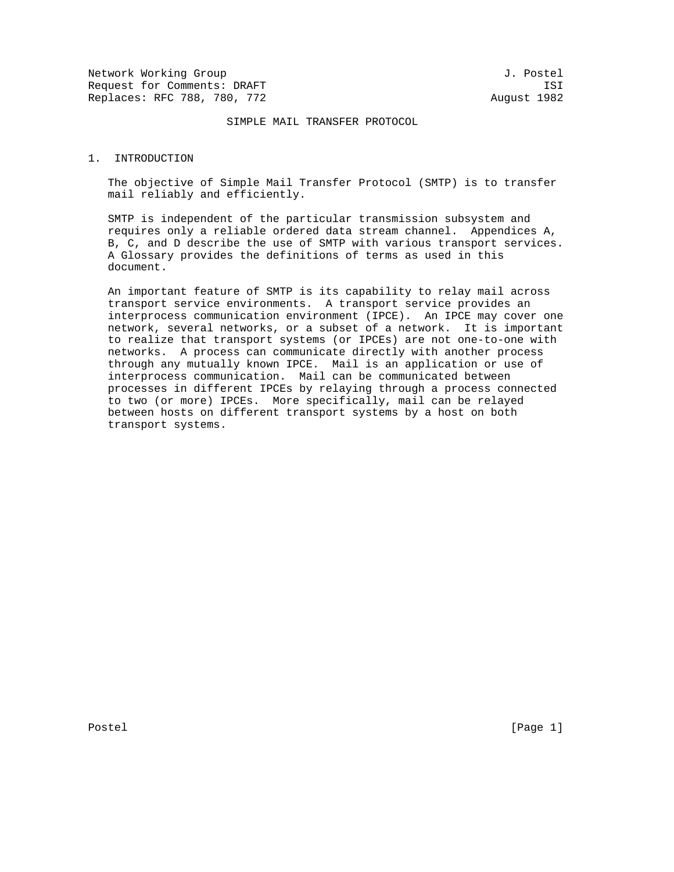Network Working Group 3. The Second Second Second Second Second Second Second Second Second Second Second Second Second Second Second Second Second Second Second Second Second Second Second Second Second Second Second Seco Request for Comments: DRAFT ISI Replaces: RFC 788, 780, 772 August 1982

#### SIMPLE MAIL TRANSFER PROTOCOL

### 1. INTRODUCTION

 The objective of Simple Mail Transfer Protocol (SMTP) is to transfer mail reliably and efficiently.

 SMTP is independent of the particular transmission subsystem and requires only a reliable ordered data stream channel. Appendices A, B, C, and D describe the use of SMTP with various transport services. A Glossary provides the definitions of terms as used in this document.

 An important feature of SMTP is its capability to relay mail across transport service environments. A transport service provides an interprocess communication environment (IPCE). An IPCE may cover one network, several networks, or a subset of a network. It is important to realize that transport systems (or IPCEs) are not one-to-one with networks. A process can communicate directly with another process through any mutually known IPCE. Mail is an application or use of interprocess communication. Mail can be communicated between processes in different IPCEs by relaying through a process connected to two (or more) IPCEs. More specifically, mail can be relayed between hosts on different transport systems by a host on both transport systems.

Postel [Page 1] [Page 1]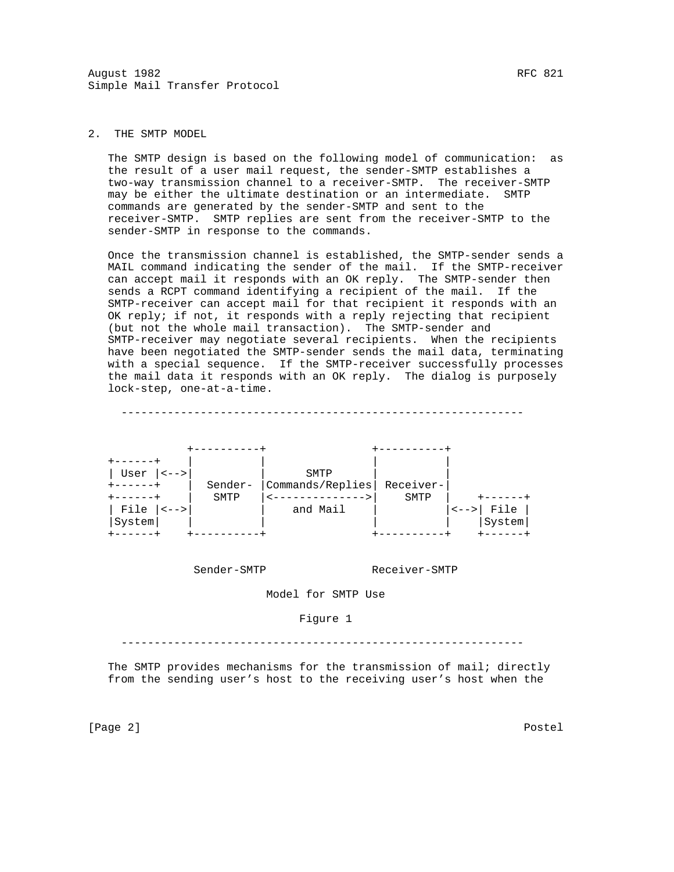August 1982 RFC 821 Simple Mail Transfer Protocol

# 2. THE SMTP MODEL

 The SMTP design is based on the following model of communication: as the result of a user mail request, the sender-SMTP establishes a two-way transmission channel to a receiver-SMTP. The receiver-SMTP may be either the ultimate destination or an intermediate. SMTP commands are generated by the sender-SMTP and sent to the receiver-SMTP. SMTP replies are sent from the receiver-SMTP to the sender-SMTP in response to the commands.

 Once the transmission channel is established, the SMTP-sender sends a MAIL command indicating the sender of the mail. If the SMTP-receiver can accept mail it responds with an OK reply. The SMTP-sender then sends a RCPT command identifying a recipient of the mail. If the SMTP-receiver can accept mail for that recipient it responds with an OK reply; if not, it responds with a reply rejecting that recipient (but not the whole mail transaction). The SMTP-sender and SMTP-receiver may negotiate several recipients. When the recipients have been negotiated the SMTP-sender sends the mail data, terminating with a special sequence. If the SMTP-receiver successfully processes the mail data it responds with an OK reply. The dialog is purposely lock-step, one-at-a-time.

-------------------------------------------------------------

| User<br>$ --->$   |         | SMTP             |           |                       |
|-------------------|---------|------------------|-----------|-----------------------|
|                   | Sender- | Commands/Replies | Receiver- |                       |
|                   | SMTP    |                  | SMTP      |                       |
| File<br>  < – – > |         | and Mail         |           | File<br>$\lt$ – – $>$ |
| System            |         |                  |           | System                |
|                   |         |                  |           |                       |

Sender-SMTP Receiver-SMTP

Model for SMTP Use

Figure 1

-------------------------------------------------------------

 The SMTP provides mechanisms for the transmission of mail; directly from the sending user's host to the receiving user's host when the

[Page 2] Postel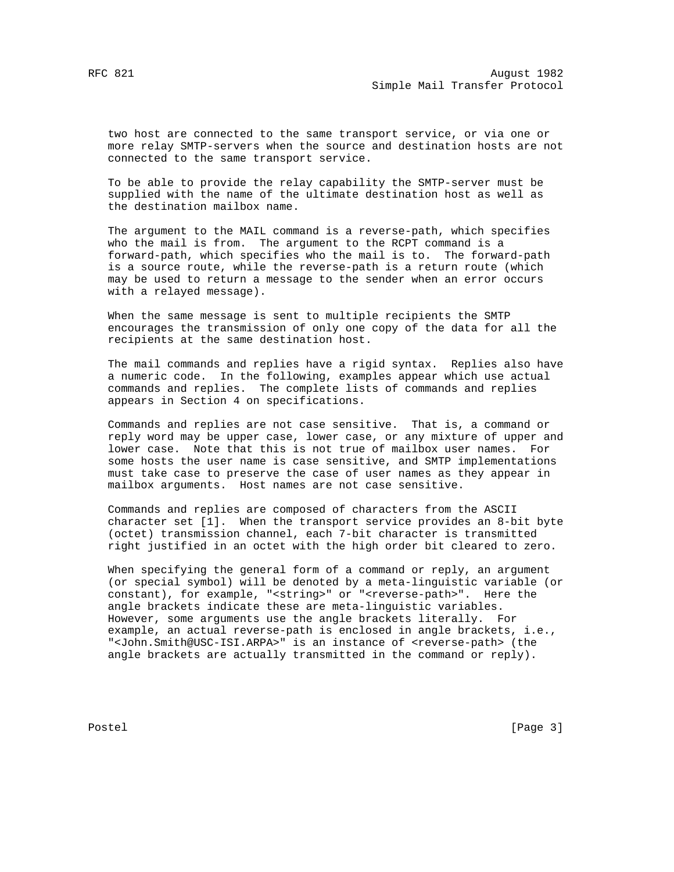two host are connected to the same transport service, or via one or more relay SMTP-servers when the source and destination hosts are not connected to the same transport service.

 To be able to provide the relay capability the SMTP-server must be supplied with the name of the ultimate destination host as well as the destination mailbox name.

 The argument to the MAIL command is a reverse-path, which specifies who the mail is from. The argument to the RCPT command is a forward-path, which specifies who the mail is to. The forward-path is a source route, while the reverse-path is a return route (which may be used to return a message to the sender when an error occurs with a relayed message).

 When the same message is sent to multiple recipients the SMTP encourages the transmission of only one copy of the data for all the recipients at the same destination host.

 The mail commands and replies have a rigid syntax. Replies also have a numeric code. In the following, examples appear which use actual commands and replies. The complete lists of commands and replies appears in Section 4 on specifications.

 Commands and replies are not case sensitive. That is, a command or reply word may be upper case, lower case, or any mixture of upper and lower case. Note that this is not true of mailbox user names. For some hosts the user name is case sensitive, and SMTP implementations must take case to preserve the case of user names as they appear in mailbox arguments. Host names are not case sensitive.

 Commands and replies are composed of characters from the ASCII character set [1]. When the transport service provides an 8-bit byte (octet) transmission channel, each 7-bit character is transmitted right justified in an octet with the high order bit cleared to zero.

 When specifying the general form of a command or reply, an argument (or special symbol) will be denoted by a meta-linguistic variable (or constant), for example, "<string>" or "<reverse-path>". Here the angle brackets indicate these are meta-linguistic variables. However, some arguments use the angle brackets literally. For example, an actual reverse-path is enclosed in angle brackets, i.e., "<John.Smith@USC-ISI.ARPA>" is an instance of <reverse-path> (the angle brackets are actually transmitted in the command or reply).

Postel [Page 3]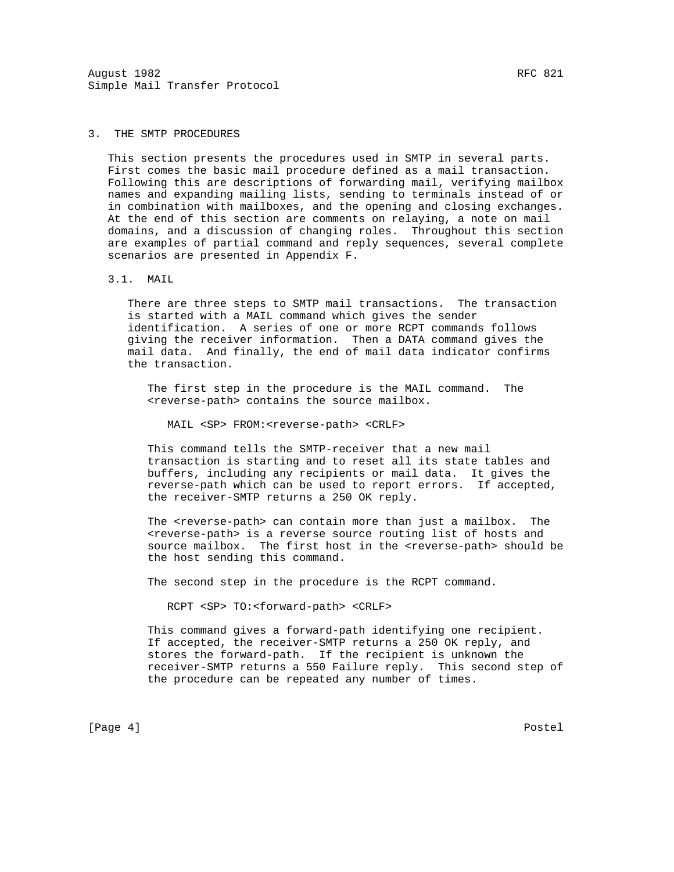August 1982 RFC 821 Simple Mail Transfer Protocol

### 3. THE SMTP PROCEDURES

 This section presents the procedures used in SMTP in several parts. First comes the basic mail procedure defined as a mail transaction. Following this are descriptions of forwarding mail, verifying mailbox names and expanding mailing lists, sending to terminals instead of or in combination with mailboxes, and the opening and closing exchanges. At the end of this section are comments on relaying, a note on mail domains, and a discussion of changing roles. Throughout this section are examples of partial command and reply sequences, several complete scenarios are presented in Appendix F.

3.1. MAIL

 There are three steps to SMTP mail transactions. The transaction is started with a MAIL command which gives the sender identification. A series of one or more RCPT commands follows giving the receiver information. Then a DATA command gives the mail data. And finally, the end of mail data indicator confirms the transaction.

 The first step in the procedure is the MAIL command. The <reverse-path> contains the source mailbox.

MAIL <SP> FROM:<reverse-path> <CRLF>

 This command tells the SMTP-receiver that a new mail transaction is starting and to reset all its state tables and buffers, including any recipients or mail data. It gives the reverse-path which can be used to report errors. If accepted, the receiver-SMTP returns a 250 OK reply.

The <reverse-path> can contain more than just a mailbox. The <reverse-path> is a reverse source routing list of hosts and source mailbox. The first host in the <reverse-path> should be the host sending this command.

The second step in the procedure is the RCPT command.

RCPT <SP> TO:<forward-path> <CRLF>

 This command gives a forward-path identifying one recipient. If accepted, the receiver-SMTP returns a 250 OK reply, and stores the forward-path. If the recipient is unknown the receiver-SMTP returns a 550 Failure reply. This second step of the procedure can be repeated any number of times.

[Page 4] Postel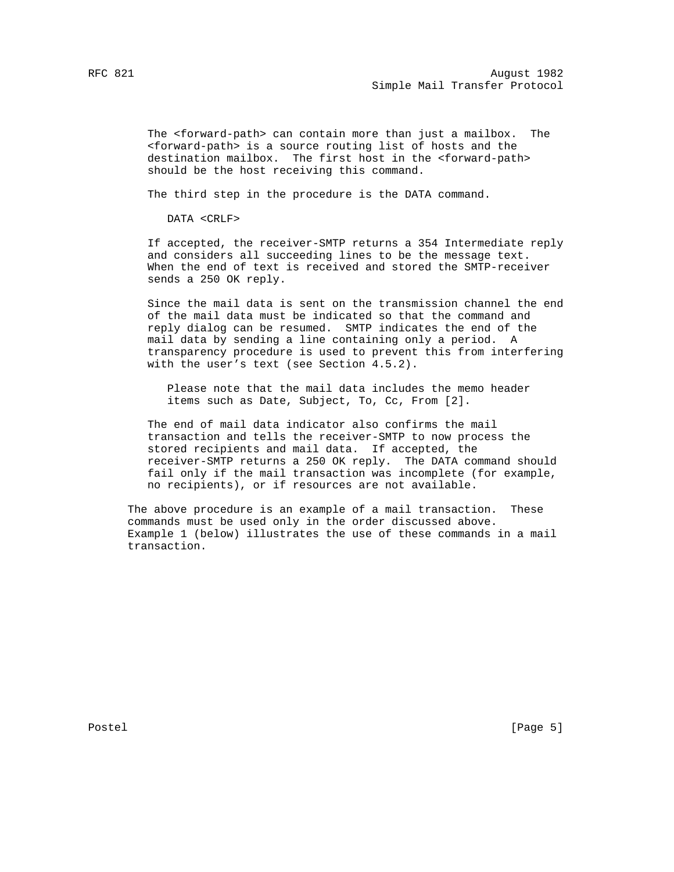The <forward-path> can contain more than just a mailbox. The <forward-path> is a source routing list of hosts and the destination mailbox. The first host in the <forward-path> should be the host receiving this command.

The third step in the procedure is the DATA command.

DATA <CRLF>

 If accepted, the receiver-SMTP returns a 354 Intermediate reply and considers all succeeding lines to be the message text. When the end of text is received and stored the SMTP-receiver sends a 250 OK reply.

 Since the mail data is sent on the transmission channel the end of the mail data must be indicated so that the command and reply dialog can be resumed. SMTP indicates the end of the mail data by sending a line containing only a period. A transparency procedure is used to prevent this from interfering with the user's text (see Section 4.5.2).

 Please note that the mail data includes the memo header items such as Date, Subject, To, Cc, From [2].

 The end of mail data indicator also confirms the mail transaction and tells the receiver-SMTP to now process the stored recipients and mail data. If accepted, the receiver-SMTP returns a 250 OK reply. The DATA command should fail only if the mail transaction was incomplete (for example, no recipients), or if resources are not available.

 The above procedure is an example of a mail transaction. These commands must be used only in the order discussed above. Example 1 (below) illustrates the use of these commands in a mail transaction.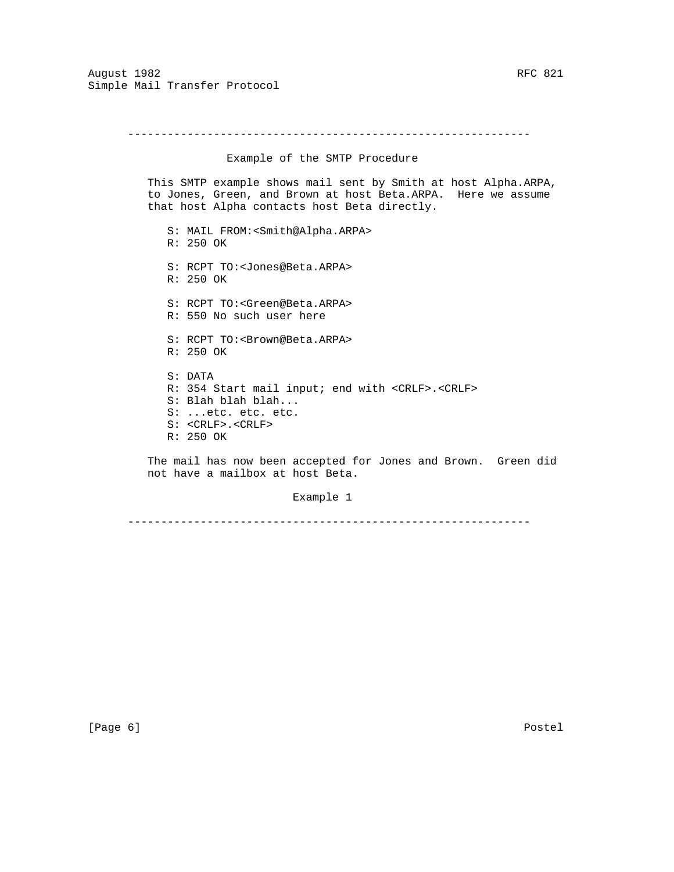-------------------------------------------------------------

### Example of the SMTP Procedure

 This SMTP example shows mail sent by Smith at host Alpha.ARPA, to Jones, Green, and Brown at host Beta.ARPA. Here we assume that host Alpha contacts host Beta directly.

- S: MAIL FROM:<Smith@Alpha.ARPA> R: 250 OK
- S: RCPT TO:<Jones@Beta.ARPA> R: 250 OK
- S: RCPT TO:<Green@Beta.ARPA> R: 550 No such user here
- 
- S: RCPT TO:<Brown@Beta.ARPA> R: 250 OK
- S: DATA R: 354 Start mail input; end with <CRLF>.<CRLF> S: Blah blah blah... S: ...etc. etc. etc. S: <CRLF>.<CRLF> R: 250 OK

 The mail has now been accepted for Jones and Brown. Green did not have a mailbox at host Beta.

Example 1

-------------------------------------------------------------

[Page 6] Postel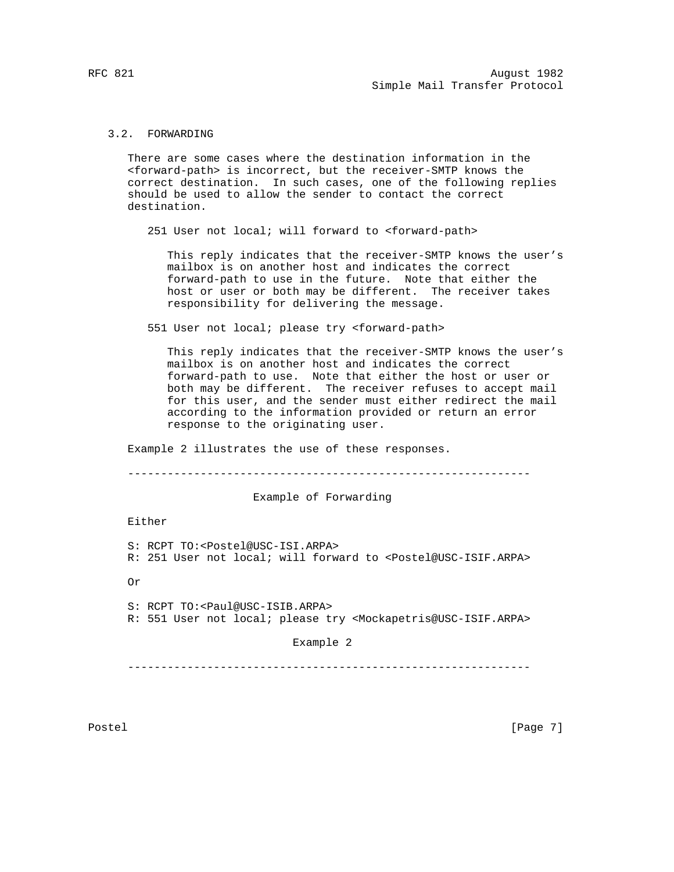# 3.2. FORWARDING

 There are some cases where the destination information in the <forward-path> is incorrect, but the receiver-SMTP knows the correct destination. In such cases, one of the following replies should be used to allow the sender to contact the correct destination.

251 User not local; will forward to <forward-path>

 This reply indicates that the receiver-SMTP knows the user's mailbox is on another host and indicates the correct forward-path to use in the future. Note that either the host or user or both may be different. The receiver takes responsibility for delivering the message.

551 User not local; please try <forward-path>

 This reply indicates that the receiver-SMTP knows the user's mailbox is on another host and indicates the correct forward-path to use. Note that either the host or user or both may be different. The receiver refuses to accept mail for this user, and the sender must either redirect the mail according to the information provided or return an error response to the originating user.

Example 2 illustrates the use of these responses.

-------------------------------------------------------------

#### Example of Forwarding

Either

 S: RCPT TO:<Postel@USC-ISI.ARPA> R: 251 User not local; will forward to <Postel@USC-ISIF.ARPA>

Or

 S: RCPT TO:<Paul@USC-ISIB.ARPA> R: 551 User not local; please try <Mockapetris@USC-ISIF.ARPA>

Example 2

-------------------------------------------------------------

Postel [Page 7]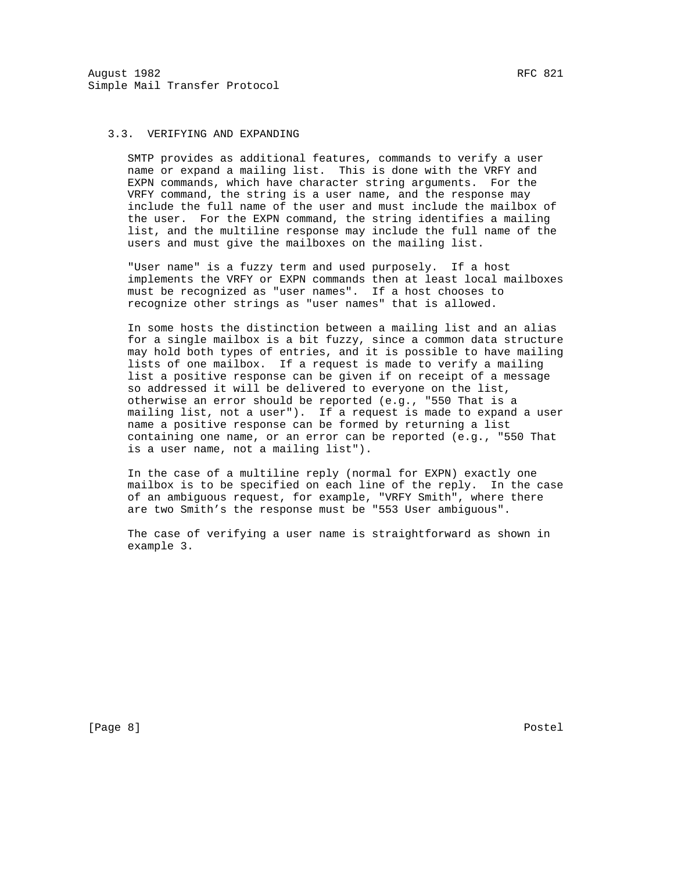### 3.3. VERIFYING AND EXPANDING

 SMTP provides as additional features, commands to verify a user name or expand a mailing list. This is done with the VRFY and EXPN commands, which have character string arguments. For the VRFY command, the string is a user name, and the response may include the full name of the user and must include the mailbox of the user. For the EXPN command, the string identifies a mailing list, and the multiline response may include the full name of the users and must give the mailboxes on the mailing list.

 "User name" is a fuzzy term and used purposely. If a host implements the VRFY or EXPN commands then at least local mailboxes must be recognized as "user names". If a host chooses to recognize other strings as "user names" that is allowed.

 In some hosts the distinction between a mailing list and an alias for a single mailbox is a bit fuzzy, since a common data structure may hold both types of entries, and it is possible to have mailing lists of one mailbox. If a request is made to verify a mailing list a positive response can be given if on receipt of a message so addressed it will be delivered to everyone on the list, otherwise an error should be reported (e.g., "550 That is a mailing list, not a user"). If a request is made to expand a user name a positive response can be formed by returning a list containing one name, or an error can be reported (e.g., "550 That is a user name, not a mailing list").

 In the case of a multiline reply (normal for EXPN) exactly one mailbox is to be specified on each line of the reply. In the case of an ambiguous request, for example, "VRFY Smith", where there are two Smith's the response must be "553 User ambiguous".

 The case of verifying a user name is straightforward as shown in example 3.

[Page 8] Postel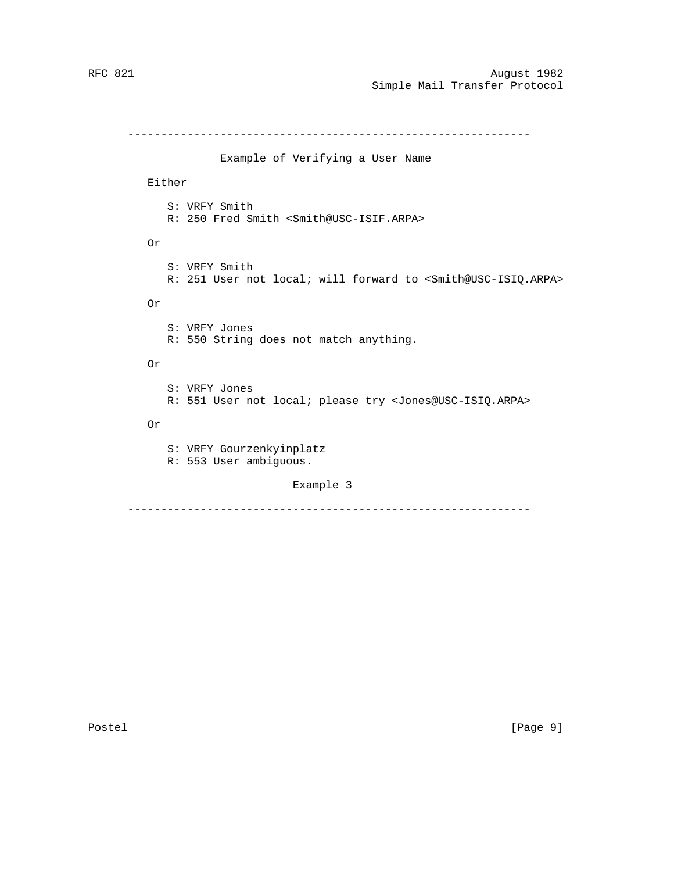------------------------------------------------------------- Example of Verifying a User Name Either S: VRFY Smith R: 250 Fred Smith <Smith@USC-ISIF.ARPA> Or S: VRFY Smith R: 251 User not local; will forward to <Smith@USC-ISIQ.ARPA> Or S: VRFY Jones R: 550 String does not match anything. Or S: VRFY Jones R: 551 User not local; please try <Jones@USC-ISIQ.ARPA> Or S: VRFY Gourzenkyinplatz R: 553 User ambiguous. Example 3 -------------------------------------------------------------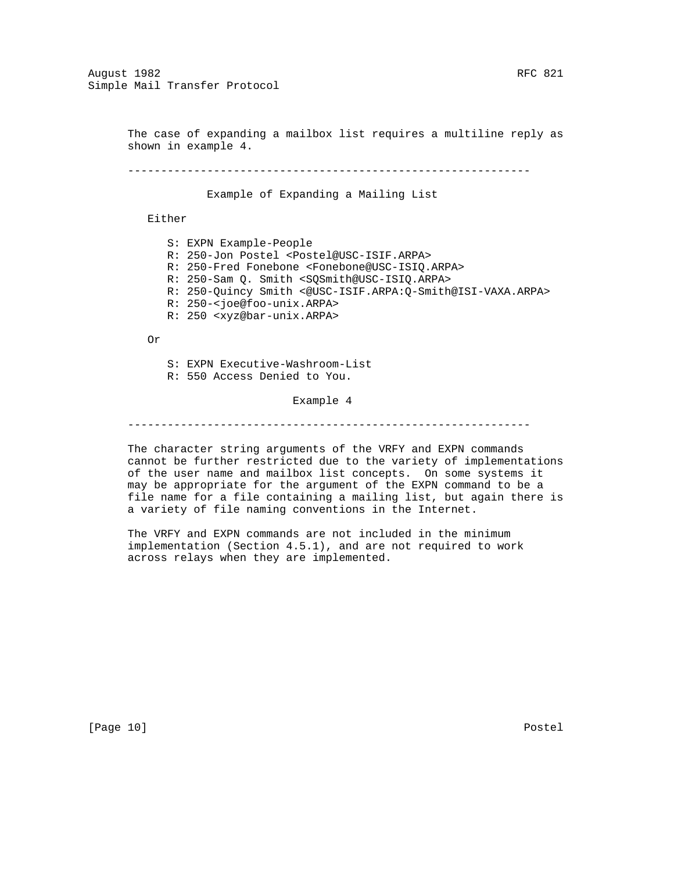August 1982 RFC 821 Simple Mail Transfer Protocol

 The case of expanding a mailbox list requires a multiline reply as shown in example 4.

-------------------------------------------------------------

Example of Expanding a Mailing List

Either

 S: EXPN Example-People R: 250-Jon Postel <Postel@USC-ISIF.ARPA> R: 250-Fred Fonebone <Fonebone@USC-ISIQ.ARPA> R: 250-Sam Q. Smith <SQSmith@USC-ISIQ.ARPA> R: 250-Quincy Smith <@USC-ISIF.ARPA:Q-Smith@ISI-VAXA.ARPA> R: 250-<joe@foo-unix.ARPA> R: 250 <xyz@bar-unix.ARPA>

Or

 S: EXPN Executive-Washroom-List R: 550 Access Denied to You.

Example 4

-------------------------------------------------------------

 The character string arguments of the VRFY and EXPN commands cannot be further restricted due to the variety of implementations of the user name and mailbox list concepts. On some systems it may be appropriate for the argument of the EXPN command to be a file name for a file containing a mailing list, but again there is a variety of file naming conventions in the Internet.

 The VRFY and EXPN commands are not included in the minimum implementation (Section 4.5.1), and are not required to work across relays when they are implemented.

[Page 10] Postel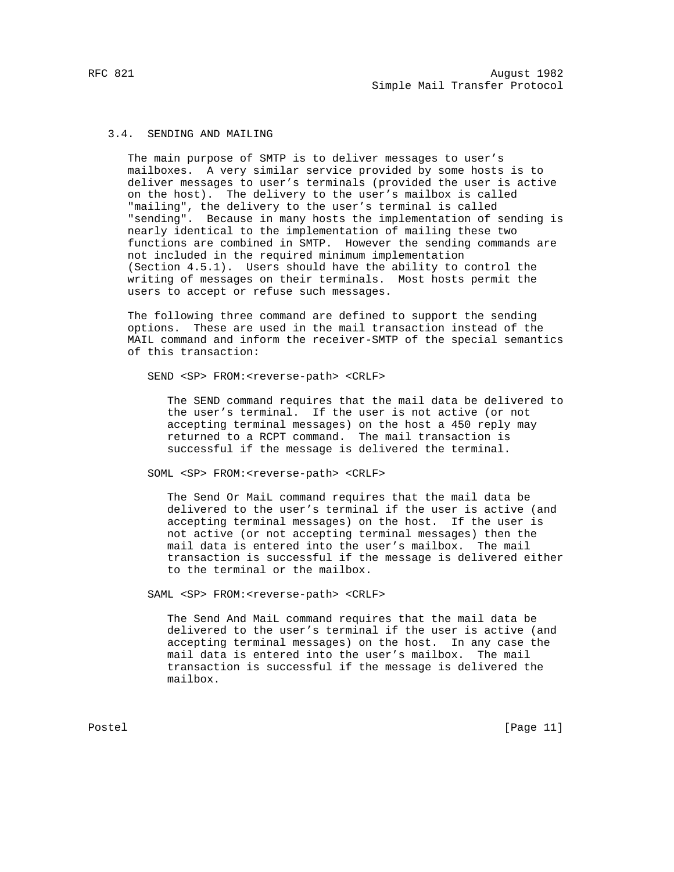#### 3.4. SENDING AND MAILING

 The main purpose of SMTP is to deliver messages to user's mailboxes. A very similar service provided by some hosts is to deliver messages to user's terminals (provided the user is active on the host). The delivery to the user's mailbox is called "mailing", the delivery to the user's terminal is called "sending". Because in many hosts the implementation of sending is nearly identical to the implementation of mailing these two functions are combined in SMTP. However the sending commands are not included in the required minimum implementation (Section 4.5.1). Users should have the ability to control the writing of messages on their terminals. Most hosts permit the users to accept or refuse such messages.

 The following three command are defined to support the sending options. These are used in the mail transaction instead of the MAIL command and inform the receiver-SMTP of the special semantics of this transaction:

SEND <SP> FROM:<reverse-path> <CRLF>

 The SEND command requires that the mail data be delivered to the user's terminal. If the user is not active (or not accepting terminal messages) on the host a 450 reply may returned to a RCPT command. The mail transaction is successful if the message is delivered the terminal.

SOML <SP> FROM:<reverse-path> <CRLF>

 The Send Or MaiL command requires that the mail data be delivered to the user's terminal if the user is active (and accepting terminal messages) on the host. If the user is not active (or not accepting terminal messages) then the mail data is entered into the user's mailbox. The mail transaction is successful if the message is delivered either to the terminal or the mailbox.

SAML <SP> FROM:<reverse-path> <CRLF>

 The Send And MaiL command requires that the mail data be delivered to the user's terminal if the user is active (and accepting terminal messages) on the host. In any case the mail data is entered into the user's mailbox. The mail transaction is successful if the message is delivered the mailbox.

Postel [Page 11]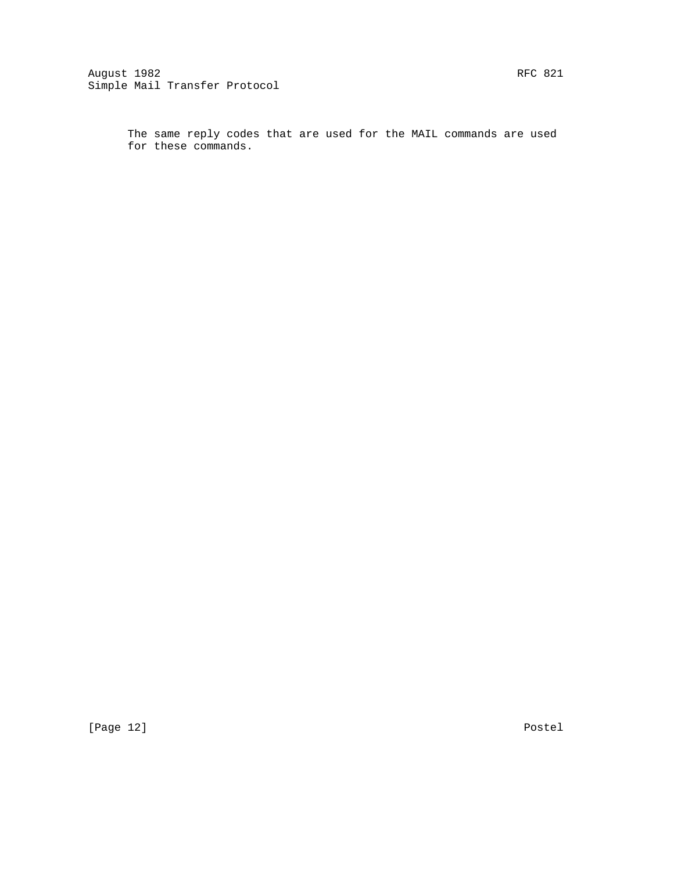August 1982 **RFC 821** Simple Mail Transfer Protocol

 The same reply codes that are used for the MAIL commands are used for these commands.

[Page 12] Postel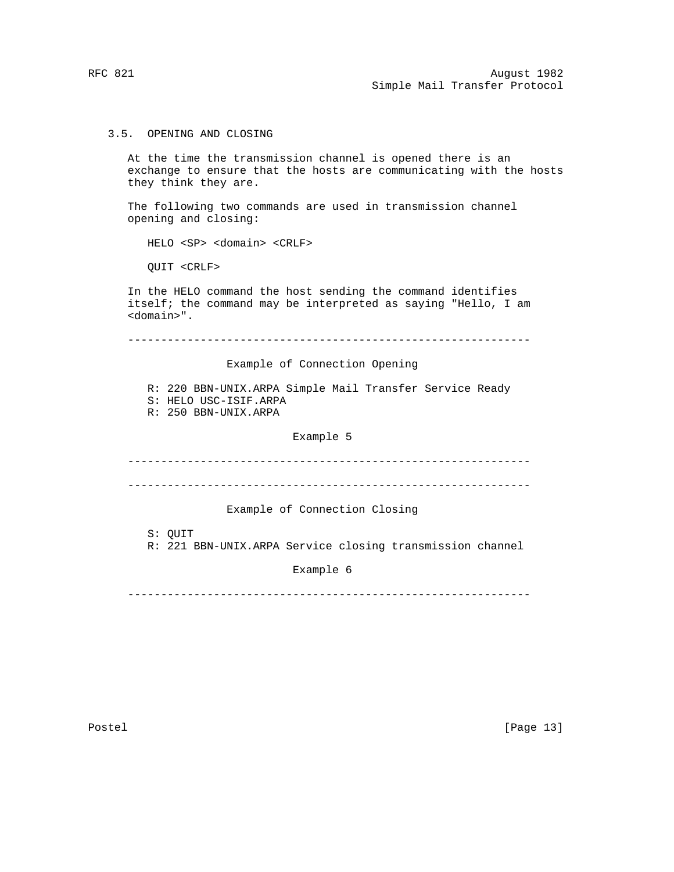### 3.5. OPENING AND CLOSING

 At the time the transmission channel is opened there is an exchange to ensure that the hosts are communicating with the hosts they think they are.

 The following two commands are used in transmission channel opening and closing:

HELO <SP> <domain> <CRLF>

QUIT <CRLF>

 In the HELO command the host sending the command identifies itself; the command may be interpreted as saying "Hello, I am <domain>".

#### -------------------------------------------------------------

#### Example of Connection Opening

 R: 220 BBN-UNIX.ARPA Simple Mail Transfer Service Ready S: HELO USC-ISIF.ARPA

R: 250 BBN-UNIX.ARPA

#### Example 5

-------------------------------------------------------------

-------------------------------------------------------------

### Example of Connection Closing

S: QUIT

R: 221 BBN-UNIX.ARPA Service closing transmission channel

Example 6

-------------------------------------------------------------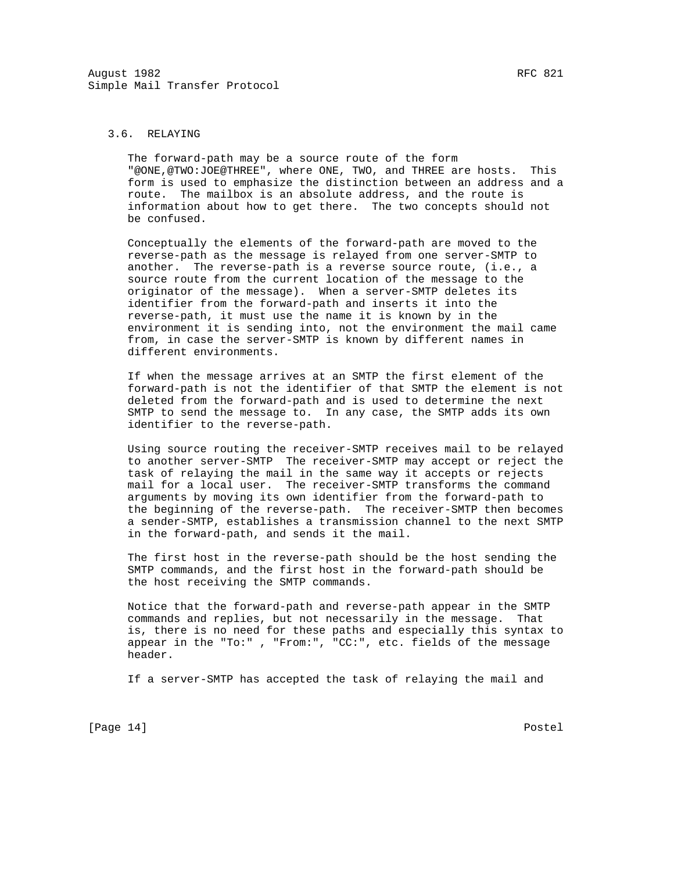# 3.6. RELAYING

 The forward-path may be a source route of the form "@ONE,@TWO:JOE@THREE", where ONE, TWO, and THREE are hosts. This form is used to emphasize the distinction between an address and a route. The mailbox is an absolute address, and the route is information about how to get there. The two concepts should not be confused.

 Conceptually the elements of the forward-path are moved to the reverse-path as the message is relayed from one server-SMTP to another. The reverse-path is a reverse source route, (i.e., a source route from the current location of the message to the originator of the message). When a server-SMTP deletes its identifier from the forward-path and inserts it into the reverse-path, it must use the name it is known by in the environment it is sending into, not the environment the mail came from, in case the server-SMTP is known by different names in different environments.

 If when the message arrives at an SMTP the first element of the forward-path is not the identifier of that SMTP the element is not deleted from the forward-path and is used to determine the next SMTP to send the message to. In any case, the SMTP adds its own identifier to the reverse-path.

 Using source routing the receiver-SMTP receives mail to be relayed to another server-SMTP The receiver-SMTP may accept or reject the task of relaying the mail in the same way it accepts or rejects mail for a local user. The receiver-SMTP transforms the command arguments by moving its own identifier from the forward-path to the beginning of the reverse-path. The receiver-SMTP then becomes a sender-SMTP, establishes a transmission channel to the next SMTP in the forward-path, and sends it the mail.

 The first host in the reverse-path should be the host sending the SMTP commands, and the first host in the forward-path should be the host receiving the SMTP commands.

 Notice that the forward-path and reverse-path appear in the SMTP commands and replies, but not necessarily in the message. That is, there is no need for these paths and especially this syntax to appear in the "To:" , "From:", "CC:", etc. fields of the message header.

If a server-SMTP has accepted the task of relaying the mail and

[Page 14] Postel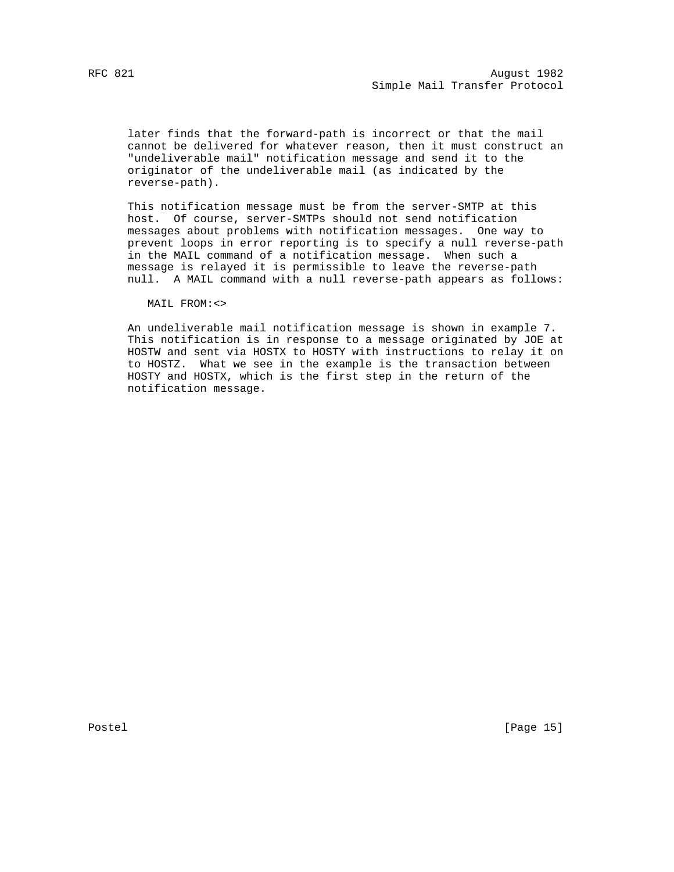later finds that the forward-path is incorrect or that the mail cannot be delivered for whatever reason, then it must construct an "undeliverable mail" notification message and send it to the originator of the undeliverable mail (as indicated by the reverse-path).

 This notification message must be from the server-SMTP at this host. Of course, server-SMTPs should not send notification messages about problems with notification messages. One way to prevent loops in error reporting is to specify a null reverse-path in the MAIL command of a notification message. When such a message is relayed it is permissible to leave the reverse-path null. A MAIL command with a null reverse-path appears as follows:

MAIL FROM:<>

 An undeliverable mail notification message is shown in example 7. This notification is in response to a message originated by JOE at HOSTW and sent via HOSTX to HOSTY with instructions to relay it on to HOSTZ. What we see in the example is the transaction between HOSTY and HOSTX, which is the first step in the return of the notification message.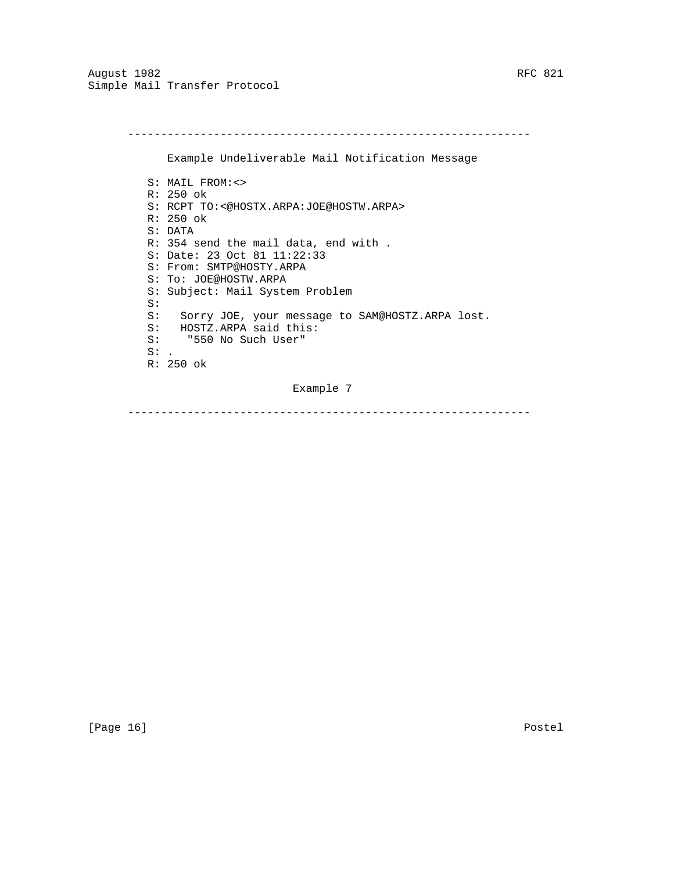```
 -------------------------------------------------------------
     Example Undeliverable Mail Notification Message
  S: MAIL FROM:<>
  R: 250 ok
  S: RCPT TO:<@HOSTX.ARPA:JOE@HOSTW.ARPA>
  R: 250 ok
  S: DATA
  R: 354 send the mail data, end with .
  S: Date: 23 Oct 81 11:22:33
  S: From: SMTP@HOSTY.ARPA
  S: To: JOE@HOSTW.ARPA
  S: Subject: Mail System Problem
  S:
  S: Sorry JOE, your message to SAM@HOSTZ.ARPA lost.
  S: HOSTZ.ARPA said this:
  S: "550 No Such User"
 S: .
  R: 250 ok
```
#### Example 7

-------------------------------------------------------------

[Page 16] Postel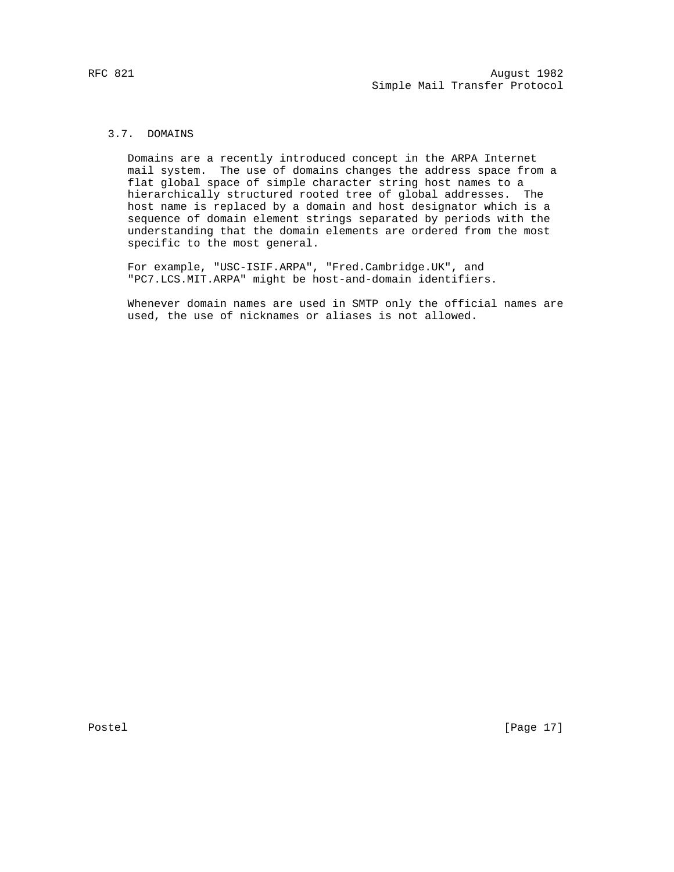# 3.7. DOMAINS

 Domains are a recently introduced concept in the ARPA Internet mail system. The use of domains changes the address space from a flat global space of simple character string host names to a hierarchically structured rooted tree of global addresses. The host name is replaced by a domain and host designator which is a sequence of domain element strings separated by periods with the understanding that the domain elements are ordered from the most specific to the most general.

 For example, "USC-ISIF.ARPA", "Fred.Cambridge.UK", and "PC7.LCS.MIT.ARPA" might be host-and-domain identifiers.

 Whenever domain names are used in SMTP only the official names are used, the use of nicknames or aliases is not allowed.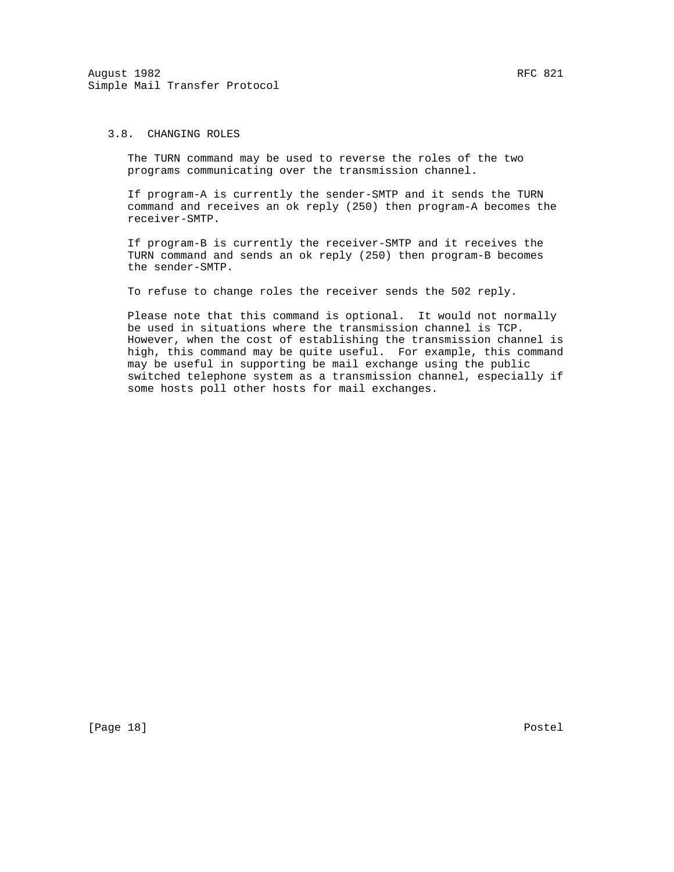# 3.8. CHANGING ROLES

 The TURN command may be used to reverse the roles of the two programs communicating over the transmission channel.

 If program-A is currently the sender-SMTP and it sends the TURN command and receives an ok reply (250) then program-A becomes the receiver-SMTP.

 If program-B is currently the receiver-SMTP and it receives the TURN command and sends an ok reply (250) then program-B becomes the sender-SMTP.

To refuse to change roles the receiver sends the 502 reply.

 Please note that this command is optional. It would not normally be used in situations where the transmission channel is TCP. However, when the cost of establishing the transmission channel is high, this command may be quite useful. For example, this command may be useful in supporting be mail exchange using the public switched telephone system as a transmission channel, especially if some hosts poll other hosts for mail exchanges.

[Page 18] Postel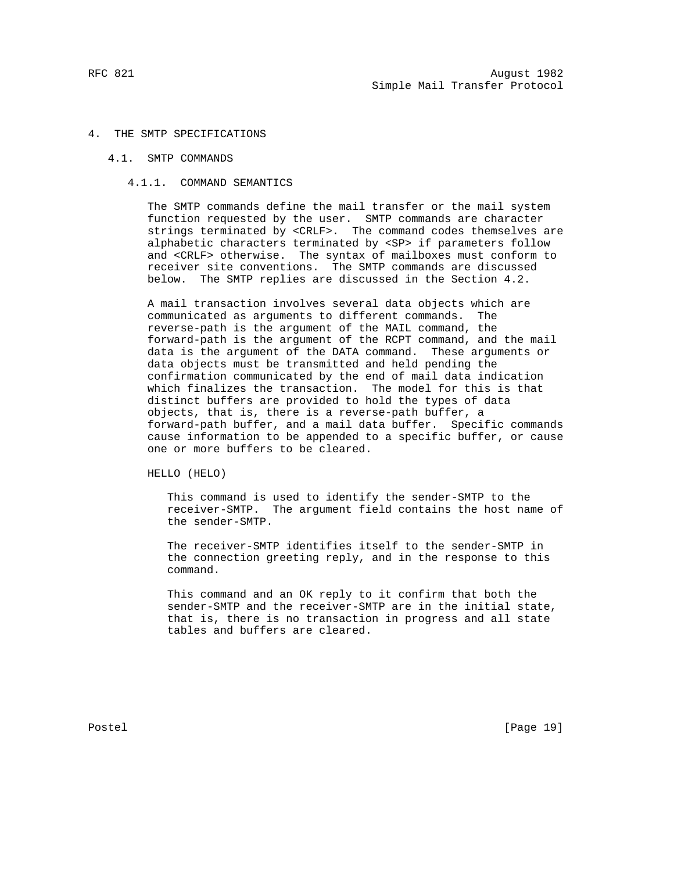### 4. THE SMTP SPECIFICATIONS

#### 4.1. SMTP COMMANDS

#### 4.1.1. COMMAND SEMANTICS

 The SMTP commands define the mail transfer or the mail system function requested by the user. SMTP commands are character strings terminated by <CRLF>. The command codes themselves are alphabetic characters terminated by <SP> if parameters follow and <CRLF> otherwise. The syntax of mailboxes must conform to receiver site conventions. The SMTP commands are discussed below. The SMTP replies are discussed in the Section 4.2.

 A mail transaction involves several data objects which are communicated as arguments to different commands. The reverse-path is the argument of the MAIL command, the forward-path is the argument of the RCPT command, and the mail data is the argument of the DATA command. These arguments or data objects must be transmitted and held pending the confirmation communicated by the end of mail data indication which finalizes the transaction. The model for this is that distinct buffers are provided to hold the types of data objects, that is, there is a reverse-path buffer, a forward-path buffer, and a mail data buffer. Specific commands cause information to be appended to a specific buffer, or cause one or more buffers to be cleared.

HELLO (HELO)

 This command is used to identify the sender-SMTP to the receiver-SMTP. The argument field contains the host name of the sender-SMTP.

 The receiver-SMTP identifies itself to the sender-SMTP in the connection greeting reply, and in the response to this command.

 This command and an OK reply to it confirm that both the sender-SMTP and the receiver-SMTP are in the initial state, that is, there is no transaction in progress and all state tables and buffers are cleared.

Postel [Page 19]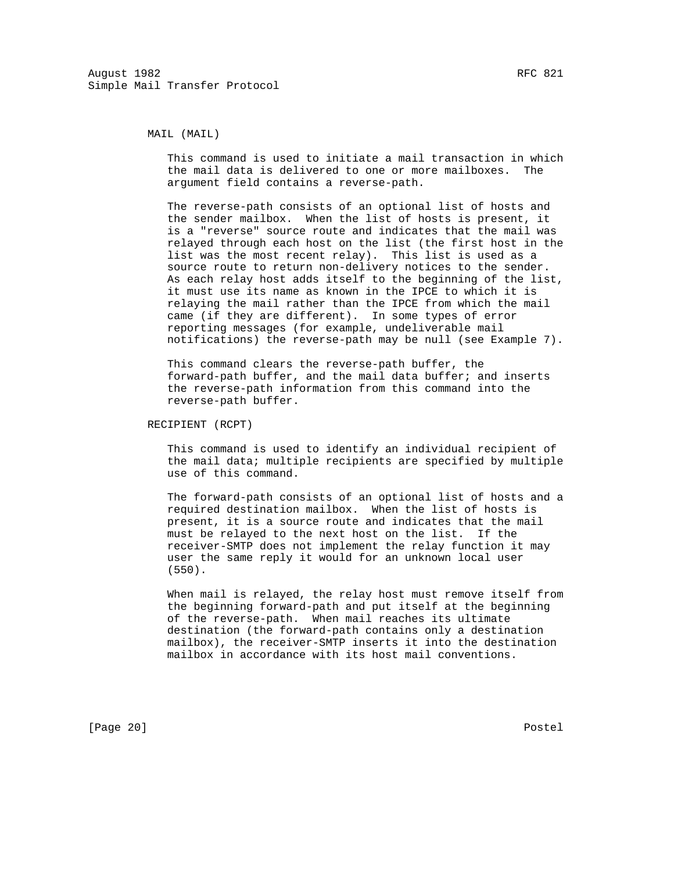### MAIL (MAIL)

 This command is used to initiate a mail transaction in which the mail data is delivered to one or more mailboxes. The argument field contains a reverse-path.

 The reverse-path consists of an optional list of hosts and the sender mailbox. When the list of hosts is present, it is a "reverse" source route and indicates that the mail was relayed through each host on the list (the first host in the list was the most recent relay). This list is used as a source route to return non-delivery notices to the sender. As each relay host adds itself to the beginning of the list, it must use its name as known in the IPCE to which it is relaying the mail rather than the IPCE from which the mail came (if they are different). In some types of error reporting messages (for example, undeliverable mail notifications) the reverse-path may be null (see Example 7).

 This command clears the reverse-path buffer, the forward-path buffer, and the mail data buffer; and inserts the reverse-path information from this command into the reverse-path buffer.

RECIPIENT (RCPT)

 This command is used to identify an individual recipient of the mail data; multiple recipients are specified by multiple use of this command.

 The forward-path consists of an optional list of hosts and a required destination mailbox. When the list of hosts is present, it is a source route and indicates that the mail must be relayed to the next host on the list. If the receiver-SMTP does not implement the relay function it may user the same reply it would for an unknown local user (550).

 When mail is relayed, the relay host must remove itself from the beginning forward-path and put itself at the beginning of the reverse-path. When mail reaches its ultimate destination (the forward-path contains only a destination mailbox), the receiver-SMTP inserts it into the destination mailbox in accordance with its host mail conventions.

[Page 20] Postel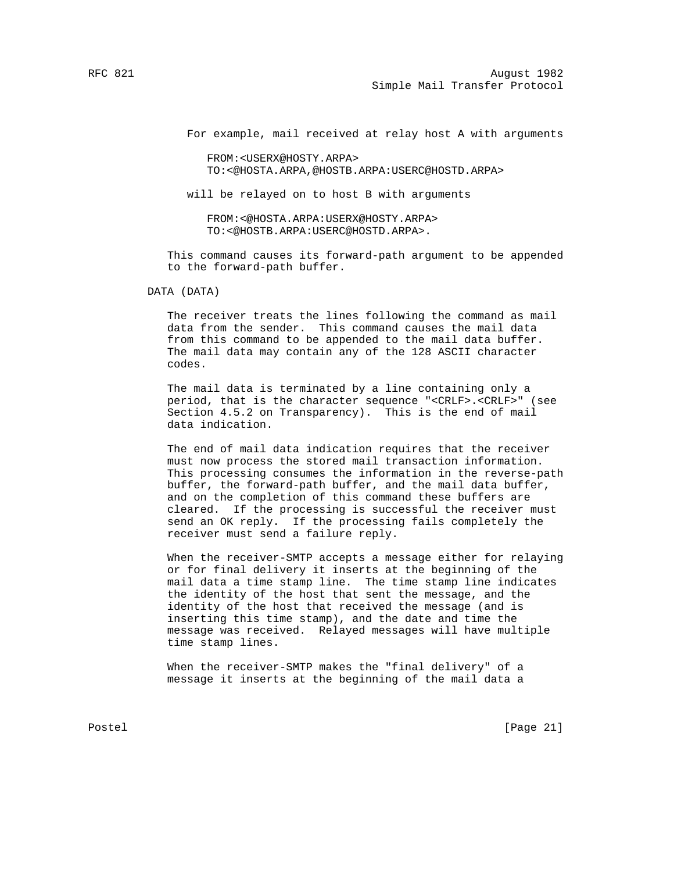For example, mail received at relay host A with arguments

 FROM:<USERX@HOSTY.ARPA> TO:<@HOSTA.ARPA,@HOSTB.ARPA:USERC@HOSTD.ARPA>

will be relayed on to host B with arguments

 FROM:<@HOSTA.ARPA:USERX@HOSTY.ARPA> TO:<@HOSTB.ARPA:USERC@HOSTD.ARPA>.

 This command causes its forward-path argument to be appended to the forward-path buffer.

DATA (DATA)

 The receiver treats the lines following the command as mail data from the sender. This command causes the mail data from this command to be appended to the mail data buffer. The mail data may contain any of the 128 ASCII character codes.

 The mail data is terminated by a line containing only a period, that is the character sequence "<CRLF>.<CRLF>" (see Section 4.5.2 on Transparency). This is the end of mail data indication.

 The end of mail data indication requires that the receiver must now process the stored mail transaction information. This processing consumes the information in the reverse-path buffer, the forward-path buffer, and the mail data buffer, and on the completion of this command these buffers are cleared. If the processing is successful the receiver must send an OK reply. If the processing fails completely the receiver must send a failure reply.

 When the receiver-SMTP accepts a message either for relaying or for final delivery it inserts at the beginning of the mail data a time stamp line. The time stamp line indicates the identity of the host that sent the message, and the identity of the host that received the message (and is inserting this time stamp), and the date and time the message was received. Relayed messages will have multiple time stamp lines.

 When the receiver-SMTP makes the "final delivery" of a message it inserts at the beginning of the mail data a

Postel [Page 21]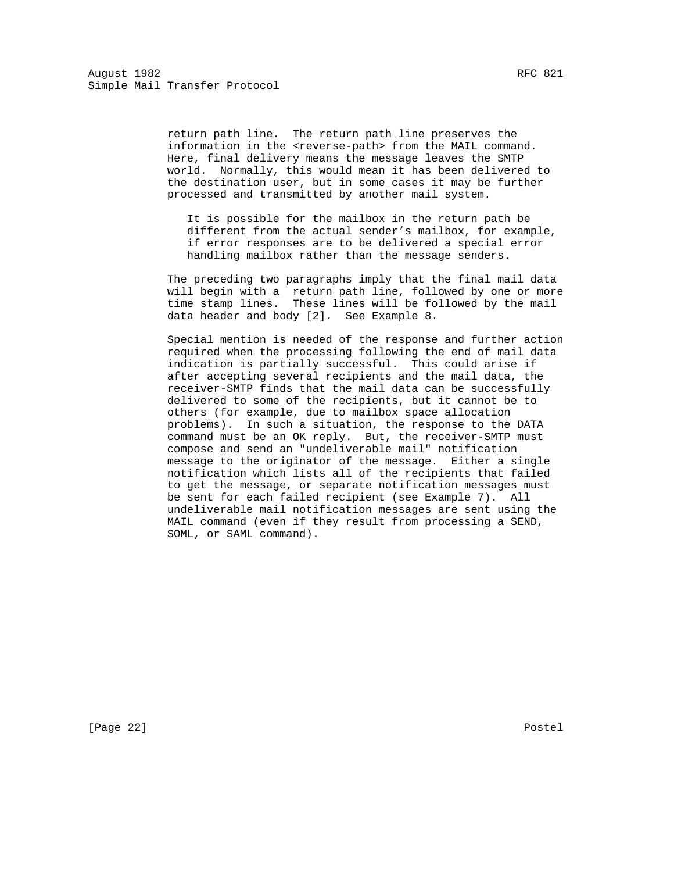return path line. The return path line preserves the information in the <reverse-path> from the MAIL command. Here, final delivery means the message leaves the SMTP world. Normally, this would mean it has been delivered to the destination user, but in some cases it may be further processed and transmitted by another mail system.

 It is possible for the mailbox in the return path be different from the actual sender's mailbox, for example, if error responses are to be delivered a special error handling mailbox rather than the message senders.

 The preceding two paragraphs imply that the final mail data will begin with a return path line, followed by one or more time stamp lines. These lines will be followed by the mail data header and body [2]. See Example 8.

 Special mention is needed of the response and further action required when the processing following the end of mail data indication is partially successful. This could arise if after accepting several recipients and the mail data, the receiver-SMTP finds that the mail data can be successfully delivered to some of the recipients, but it cannot be to others (for example, due to mailbox space allocation problems). In such a situation, the response to the DATA command must be an OK reply. But, the receiver-SMTP must compose and send an "undeliverable mail" notification message to the originator of the message. Either a single notification which lists all of the recipients that failed to get the message, or separate notification messages must be sent for each failed recipient (see Example 7). All undeliverable mail notification messages are sent using the MAIL command (even if they result from processing a SEND, SOML, or SAML command).

[Page 22] Postel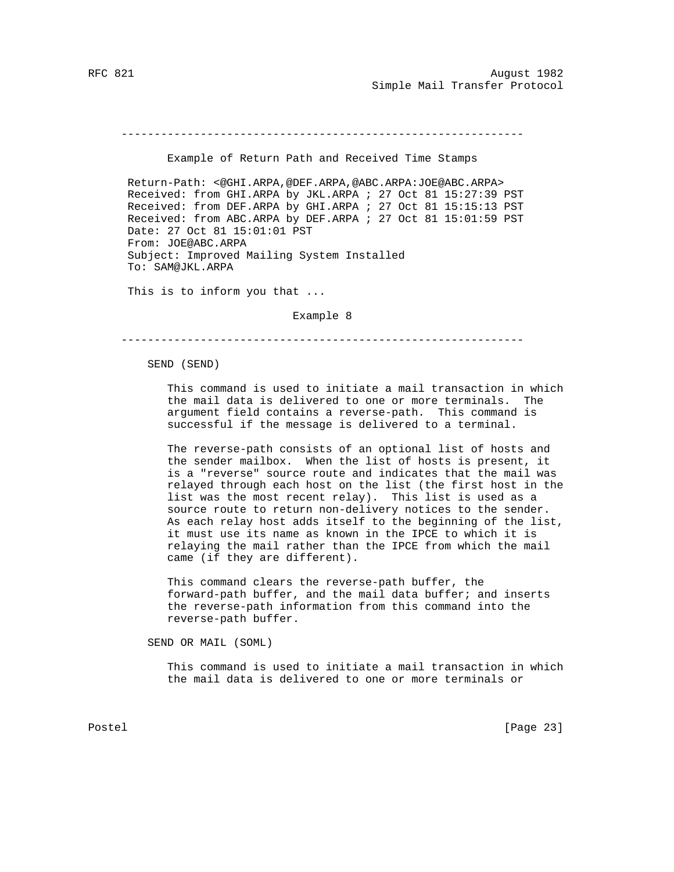-------------------------------------------------------------

Example of Return Path and Received Time Stamps

 Return-Path: <@GHI.ARPA,@DEF.ARPA,@ABC.ARPA:JOE@ABC.ARPA> Received: from GHI.ARPA by JKL.ARPA ; 27 Oct 81 15:27:39 PST Received: from DEF.ARPA by GHI.ARPA ; 27 Oct 81 15:15:13 PST Received: from ABC.ARPA by DEF.ARPA ; 27 Oct 81 15:01:59 PST Date: 27 Oct 81 15:01:01 PST From: JOE@ABC.ARPA Subject: Improved Mailing System Installed To: SAM@JKL.ARPA

This is to inform you that ...

Example 8

-------------------------------------------------------------

SEND (SEND)

 This command is used to initiate a mail transaction in which the mail data is delivered to one or more terminals. The argument field contains a reverse-path. This command is successful if the message is delivered to a terminal.

 The reverse-path consists of an optional list of hosts and the sender mailbox. When the list of hosts is present, it is a "reverse" source route and indicates that the mail was relayed through each host on the list (the first host in the list was the most recent relay). This list is used as a source route to return non-delivery notices to the sender. As each relay host adds itself to the beginning of the list, it must use its name as known in the IPCE to which it is relaying the mail rather than the IPCE from which the mail came (if they are different).

 This command clears the reverse-path buffer, the forward-path buffer, and the mail data buffer; and inserts the reverse-path information from this command into the reverse-path buffer.

SEND OR MAIL (SOML)

 This command is used to initiate a mail transaction in which the mail data is delivered to one or more terminals or

Postel [Page 23]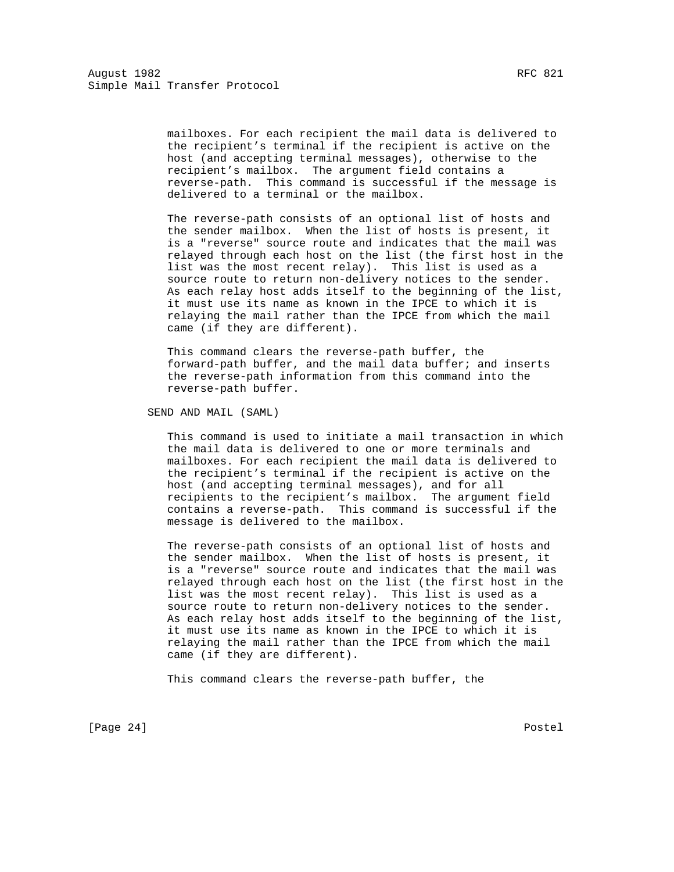mailboxes. For each recipient the mail data is delivered to the recipient's terminal if the recipient is active on the host (and accepting terminal messages), otherwise to the recipient's mailbox. The argument field contains a reverse-path. This command is successful if the message is delivered to a terminal or the mailbox.

 The reverse-path consists of an optional list of hosts and the sender mailbox. When the list of hosts is present, it is a "reverse" source route and indicates that the mail was relayed through each host on the list (the first host in the list was the most recent relay). This list is used as a source route to return non-delivery notices to the sender. As each relay host adds itself to the beginning of the list, it must use its name as known in the IPCE to which it is relaying the mail rather than the IPCE from which the mail came (if they are different).

 This command clears the reverse-path buffer, the forward-path buffer, and the mail data buffer; and inserts the reverse-path information from this command into the reverse-path buffer.

SEND AND MAIL (SAML)

 This command is used to initiate a mail transaction in which the mail data is delivered to one or more terminals and mailboxes. For each recipient the mail data is delivered to the recipient's terminal if the recipient is active on the host (and accepting terminal messages), and for all recipients to the recipient's mailbox. The argument field contains a reverse-path. This command is successful if the message is delivered to the mailbox.

 The reverse-path consists of an optional list of hosts and the sender mailbox. When the list of hosts is present, it is a "reverse" source route and indicates that the mail was relayed through each host on the list (the first host in the list was the most recent relay). This list is used as a source route to return non-delivery notices to the sender. As each relay host adds itself to the beginning of the list, it must use its name as known in the IPCE to which it is relaying the mail rather than the IPCE from which the mail came (if they are different).

This command clears the reverse-path buffer, the

[Page 24] Postel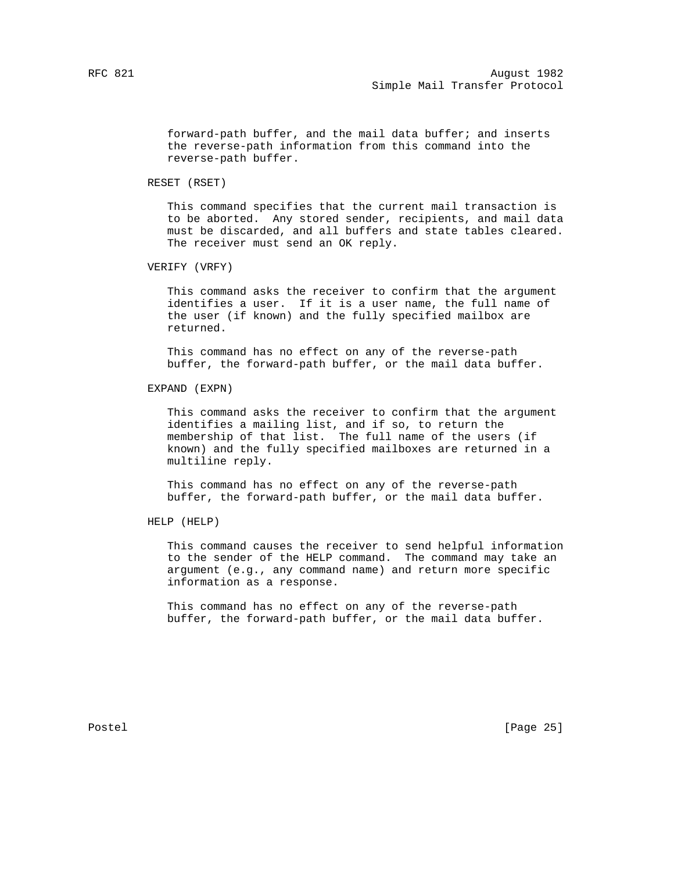forward-path buffer, and the mail data buffer; and inserts the reverse-path information from this command into the reverse-path buffer.

RESET (RSET)

 This command specifies that the current mail transaction is to be aborted. Any stored sender, recipients, and mail data must be discarded, and all buffers and state tables cleared. The receiver must send an OK reply.

VERIFY (VRFY)

 This command asks the receiver to confirm that the argument identifies a user. If it is a user name, the full name of the user (if known) and the fully specified mailbox are returned.

 This command has no effect on any of the reverse-path buffer, the forward-path buffer, or the mail data buffer.

EXPAND (EXPN)

 This command asks the receiver to confirm that the argument identifies a mailing list, and if so, to return the membership of that list. The full name of the users (if known) and the fully specified mailboxes are returned in a multiline reply.

 This command has no effect on any of the reverse-path buffer, the forward-path buffer, or the mail data buffer.

HELP (HELP)

 This command causes the receiver to send helpful information to the sender of the HELP command. The command may take an argument (e.g., any command name) and return more specific information as a response.

 This command has no effect on any of the reverse-path buffer, the forward-path buffer, or the mail data buffer.

Postel [Page 25]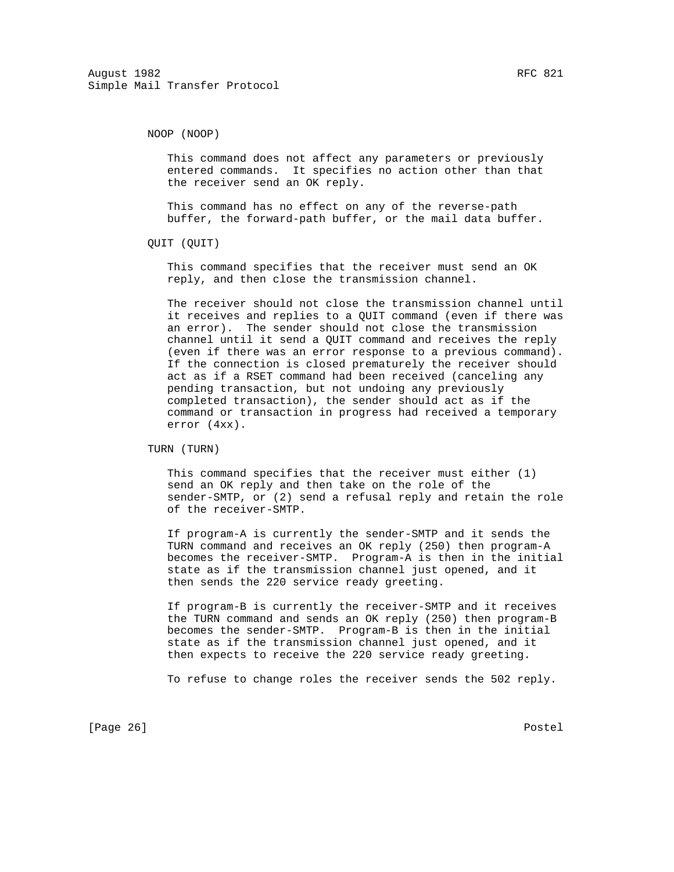### NOOP (NOOP)

 This command does not affect any parameters or previously entered commands. It specifies no action other than that the receiver send an OK reply.

 This command has no effect on any of the reverse-path buffer, the forward-path buffer, or the mail data buffer.

QUIT (QUIT)

 This command specifies that the receiver must send an OK reply, and then close the transmission channel.

 The receiver should not close the transmission channel until it receives and replies to a QUIT command (even if there was an error). The sender should not close the transmission channel until it send a QUIT command and receives the reply (even if there was an error response to a previous command). If the connection is closed prematurely the receiver should act as if a RSET command had been received (canceling any pending transaction, but not undoing any previously completed transaction), the sender should act as if the command or transaction in progress had received a temporary error (4xx).

TURN (TURN)

 This command specifies that the receiver must either (1) send an OK reply and then take on the role of the sender-SMTP, or (2) send a refusal reply and retain the role of the receiver-SMTP.

 If program-A is currently the sender-SMTP and it sends the TURN command and receives an OK reply (250) then program-A becomes the receiver-SMTP. Program-A is then in the initial state as if the transmission channel just opened, and it then sends the 220 service ready greeting.

 If program-B is currently the receiver-SMTP and it receives the TURN command and sends an OK reply (250) then program-B becomes the sender-SMTP. Program-B is then in the initial state as if the transmission channel just opened, and it then expects to receive the 220 service ready greeting.

To refuse to change roles the receiver sends the 502 reply.

[Page 26] Postel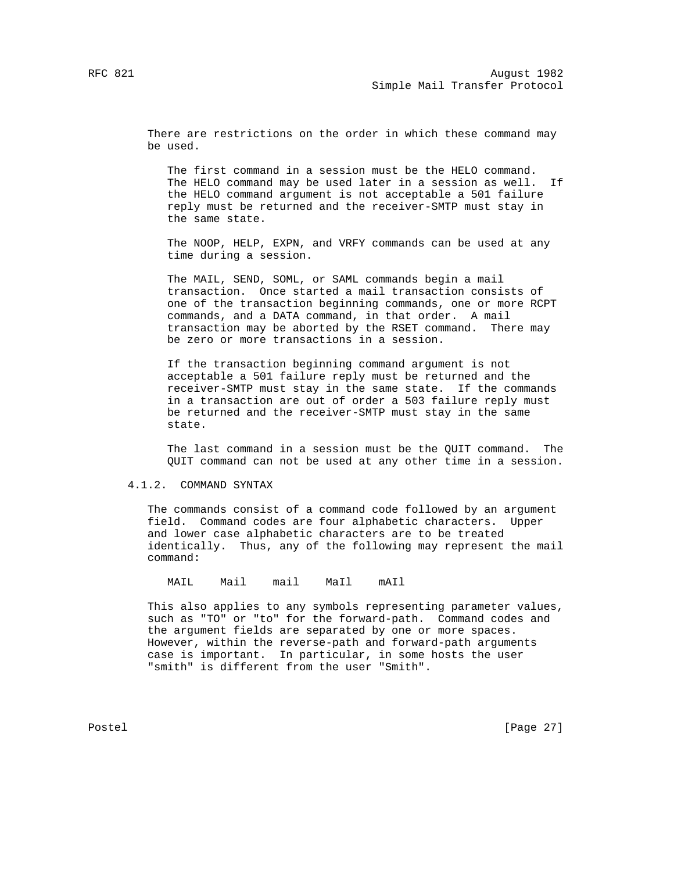There are restrictions on the order in which these command may be used.

 The first command in a session must be the HELO command. The HELO command may be used later in a session as well. If the HELO command argument is not acceptable a 501 failure reply must be returned and the receiver-SMTP must stay in the same state.

 The NOOP, HELP, EXPN, and VRFY commands can be used at any time during a session.

 The MAIL, SEND, SOML, or SAML commands begin a mail transaction. Once started a mail transaction consists of one of the transaction beginning commands, one or more RCPT commands, and a DATA command, in that order. A mail transaction may be aborted by the RSET command. There may be zero or more transactions in a session.

 If the transaction beginning command argument is not acceptable a 501 failure reply must be returned and the receiver-SMTP must stay in the same state. If the commands in a transaction are out of order a 503 failure reply must be returned and the receiver-SMTP must stay in the same state.

 The last command in a session must be the QUIT command. The QUIT command can not be used at any other time in a session.

#### 4.1.2. COMMAND SYNTAX

 The commands consist of a command code followed by an argument field. Command codes are four alphabetic characters. Upper and lower case alphabetic characters are to be treated identically. Thus, any of the following may represent the mail command:

MAIL Mail mail MaIl mAIl

 This also applies to any symbols representing parameter values, such as "TO" or "to" for the forward-path. Command codes and the argument fields are separated by one or more spaces. However, within the reverse-path and forward-path arguments case is important. In particular, in some hosts the user "smith" is different from the user "Smith".

Postel [Page 27]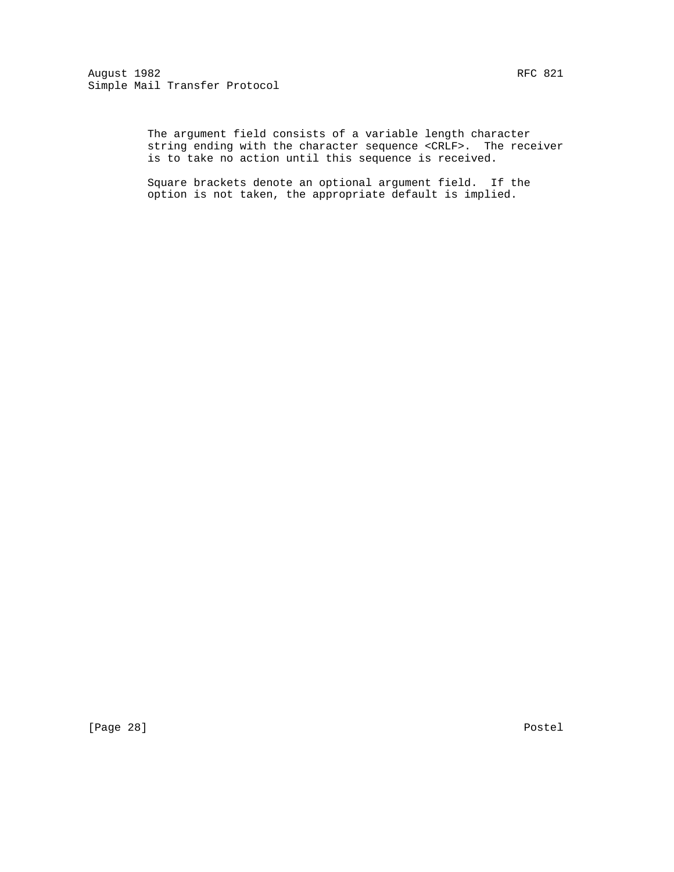The argument field consists of a variable length character string ending with the character sequence <CRLF>. The receiver is to take no action until this sequence is received.

 Square brackets denote an optional argument field. If the option is not taken, the appropriate default is implied.

[Page 28] Postel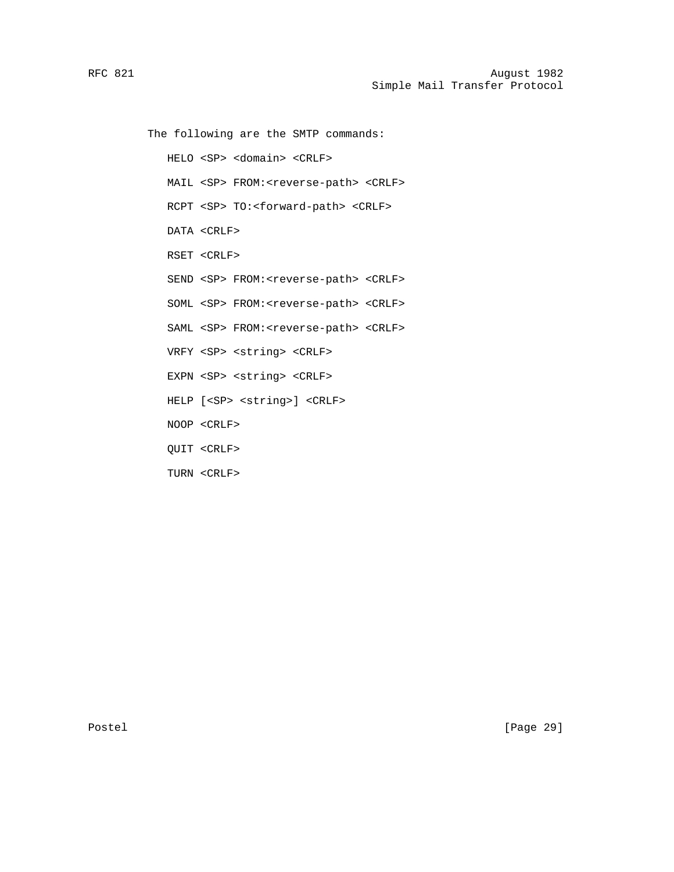RFC 821 August 1982 Simple Mail Transfer Protocol

The following are the SMTP commands:

HELO <SP> <domain> <CRLF>

MAIL <SP> FROM:<reverse-path> <CRLF>

RCPT <SP> TO:<forward-path> <CRLF>

DATA <CRLF>

RSET <CRLF>

SEND <SP> FROM:<reverse-path> <CRLF>

SOML <SP> FROM:<reverse-path> <CRLF>

- SAML <SP> FROM:<reverse-path> <CRLF>
- VRFY <SP> <string> <CRLF>
- EXPN <SP> <string> <CRLF>
- HELP [<SP> <string>] <CRLF>
- NOOP <CRLF>
- QUIT <CRLF>
- TURN <CRLF>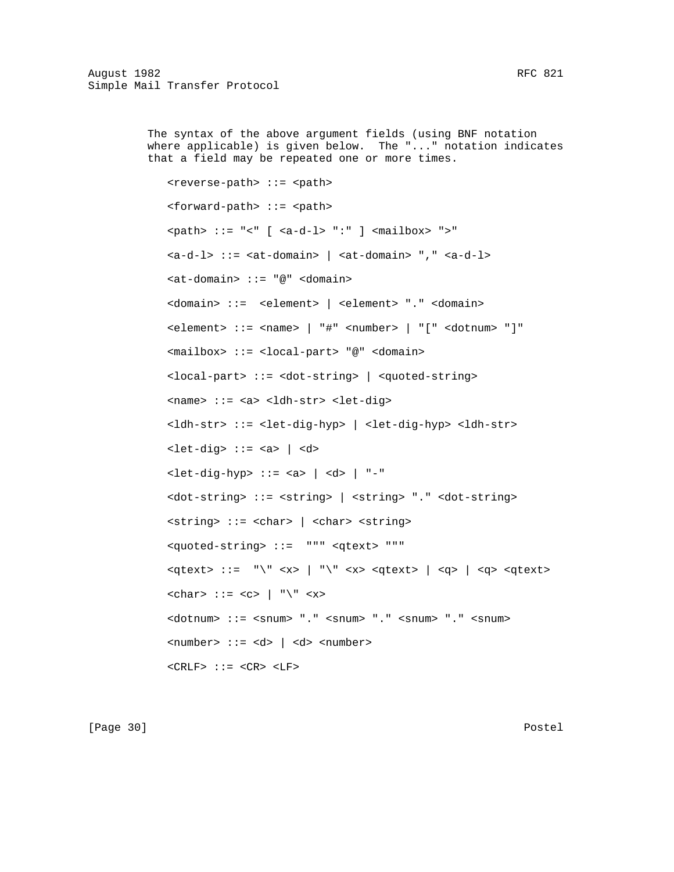```
 The syntax of the above argument fields (using BNF notation
where applicable) is given below. The "..." notation indicates
that a field may be repeated one or more times.
   <reverse-path> ::= <path>
   <forward-path> ::= <path>
   <path> ::= "<" [ <a-d-l> ":" ] <mailbox> ">"
   <a-d-l> ::= <at-domain> | <at-domain> "," <a-d-l>
   <at-domain> ::= "@" <domain>
   <domain> ::= <element> | <element> "." <domain>
   <element> ::= <name> | "#" <number> | "[" <dotnum> "]"
   <mailbox> ::= <local-part> "@" <domain>
   <local-part> ::= <dot-string> | <quoted-string>
   <name> ::= <a> <ldh-str> <let-dig>
   <ldh-str> ::= <let-dig-hyp> | <let-dig-hyp> <ldh-str>
  \text{<let-diq>} :: \text{<a>} | \text{<d>}\text{·} <dot-string> ::= <string> | <string> "." <dot-string>
   <string> ::= <char> | <char> <string>
   <quoted-string> ::= """ <qtext> """
  \langle \text{qtext} \rangle ::= "\" <x> | "\" <x> <qtext> | <q> | <q> <qtext>
  <char> ::= <c> | "\" <x>
   <dotnum> ::= <snum> "." <snum> "." <snum> "." <snum>
  \langlenumber> ::= <d> | <d> <number>
  <CRLF> ::= <CR> <LF>
```
[Page 30] Postel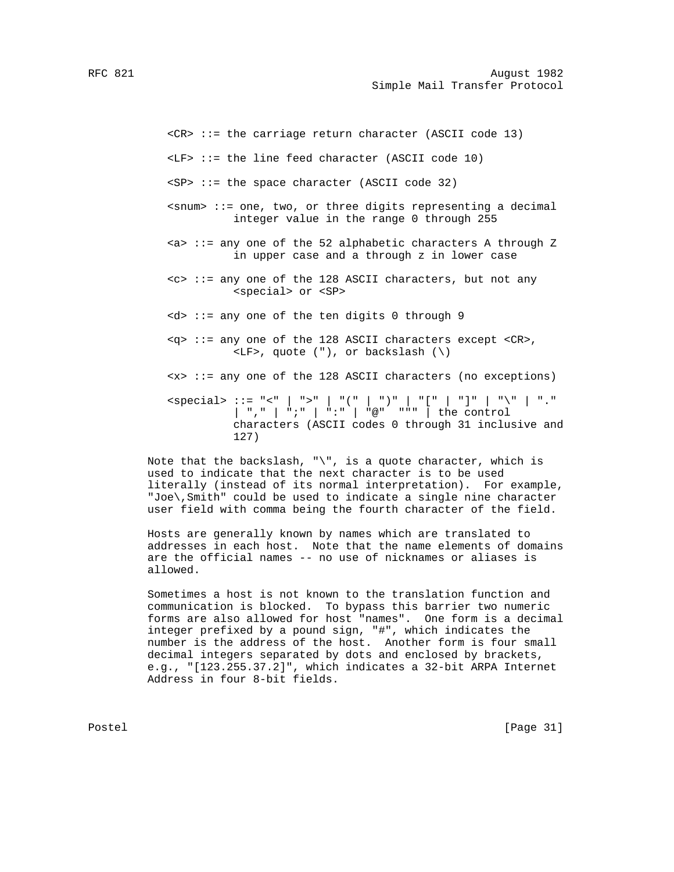<CR> ::= the carriage return character (ASCII code 13)  $\langle LF \rangle$  ::= the line feed character (ASCII code 10)  $<$ SP> ::= the space character (ASCII code 32) <snum> ::= one, two, or three digits representing a decimal integer value in the range 0 through 255  $\langle a \rangle$  ::= any one of the 52 alphabetic characters A through Z in upper case and a through z in lower case <c> ::= any one of the 128 ASCII characters, but not any <special> or <SP>  $<$ d> ::= any one of the ten digits 0 through 9 <q> ::= any one of the 128 ASCII characters except <CR>, <LF>, quote ("), or backslash (\) <x> ::= any one of the 128 ASCII characters (no exceptions)  $\text{cspecial} > :: = "<" | ">" | "(" | ")" | "[" | "] " | " \" | " \"$  | "," | ";" | ":" | "@" """ | the control characters (ASCII codes 0 through 31 inclusive and 127)

Note that the backslash, " $\backslash$ ", is a quote character, which is used to indicate that the next character is to be used literally (instead of its normal interpretation). For example, "Joe\,Smith" could be used to indicate a single nine character user field with comma being the fourth character of the field.

 Hosts are generally known by names which are translated to addresses in each host. Note that the name elements of domains are the official names -- no use of nicknames or aliases is allowed.

 Sometimes a host is not known to the translation function and communication is blocked. To bypass this barrier two numeric forms are also allowed for host "names". One form is a decimal integer prefixed by a pound sign, "#", which indicates the number is the address of the host. Another form is four small decimal integers separated by dots and enclosed by brackets, e.g., "[123.255.37.2]", which indicates a 32-bit ARPA Internet Address in four 8-bit fields.

Postel [Page 31]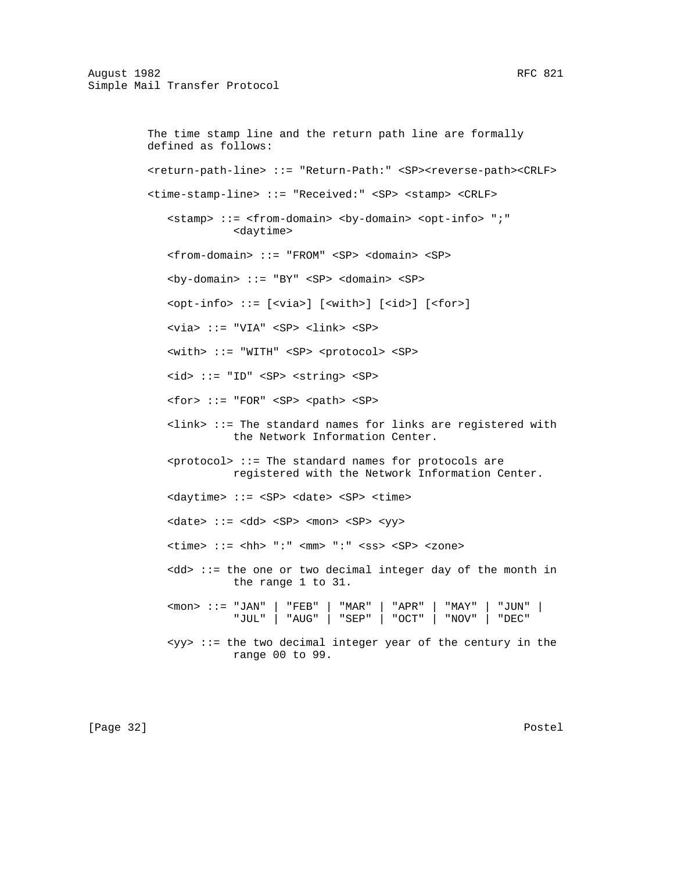The time stamp line and the return path line are formally defined as follows: <return-path-line> ::= "Return-Path:" <SP><reverse-path><CRLF> <time-stamp-line> ::= "Received:" <SP> <stamp> <CRLF> <stamp> ::= <from-domain> <by-domain> <opt-info> ";" <daytime> <from-domain> ::= "FROM" <SP> <domain> <SP> <by-domain> ::= "BY" <SP> <domain> <SP> <opt-info> ::= [<via>] [<with>] [<id>] [<for>] <via> ::= "VIA" <SP> <link> <SP> <with> ::= "WITH" <SP> <protocol> <SP> <id> ::= "ID" <SP> <string> <SP> <for> ::= "FOR" <SP> <path> <SP> <link> ::= The standard names for links are registered with the Network Information Center.  $<sub>></sub>$   $<sub>></sub>$   $<sub>;</sub>$   $<sub>;</sub>$   $<sub>;</sub>$   $<sub>;</sub>$   $<sub>;</sub>$   $<sub>;</sub>$   $<sub>;</sub>$   $<sub>;</sub>$   $<sub>;</sub>$   $<sub>;</sub>$   $<sub>;</sub>$   $<sub>;</sub>$   $<sub>;</sub>$   $<sub>;</sub>$   $<sub>;</sub>$   $<sub>;</sub>$   $<sub>;</sub>$   $<sub>;</sub>$   $<sub>;</sub>$   $<sub>;</sub>$   $<sub>;</sub>$   $<sub>;</sub>$   $<sub>;</sub></sub></sub></sub></sub></sub></sub></sub></sub></sub></sub></sub></sub></sub></sub></sub></sub></sub></sub></sub></sub></sub></sub></sub></sub></sub>$  registered with the Network Information Center. <daytime> ::= <SP> <date> <SP> <time> <date> ::= <dd> <SP> <mon> <SP> <yy> <time> ::= <hh> ":" <mm> ":" <ss> <SP> <zone>  $\langle \text{dd} \rangle$  ::= the one or two decimal integer day of the month in the range 1 to 31. <mon> ::= "JAN" | "FEB" | "MAR" | "APR" | "MAY" | "JUN" | "JUL" | "AUG" | "SEP" | "OCT" | "NOV" | "DEC" <yy> ::= the two decimal integer year of the century in the range 00 to 99.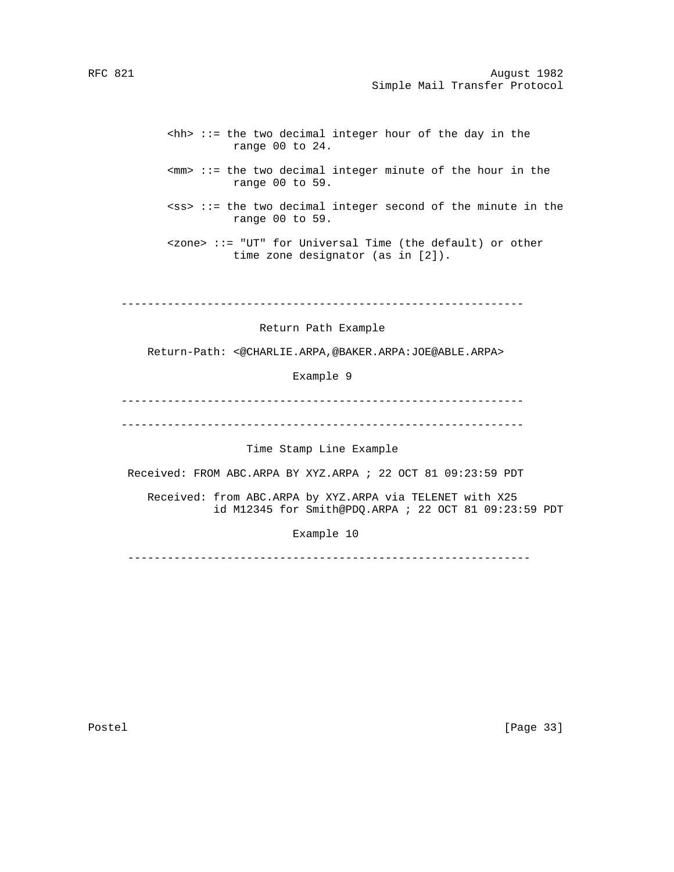RFC 821 August 1982 Simple Mail Transfer Protocol

> $\verb|>|:=$  the two decimal integer hour of the day in the range 00 to 24.

- $\text{cmm} > ::$  the two decimal integer minute of the hour in the range 00 to 59.
- <ss> ::= the two decimal integer second of the minute in the range 00 to 59.

 <zone> ::= "UT" for Universal Time (the default) or other time zone designator (as in [2]).

-------------------------------------------------------------

Return Path Example

Return-Path: <@CHARLIE.ARPA,@BAKER.ARPA:JOE@ABLE.ARPA>

Example 9

-------------------------------------------------------------

-------------------------------------------------------------

Time Stamp Line Example

Received: FROM ABC.ARPA BY XYZ.ARPA ; 22 OCT 81 09:23:59 PDT

 Received: from ABC.ARPA by XYZ.ARPA via TELENET with X25 id M12345 for Smith@PDQ.ARPA ; 22 OCT 81 09:23:59 PDT

Example 10

-------------------------------------------------------------

Postel [Page 33]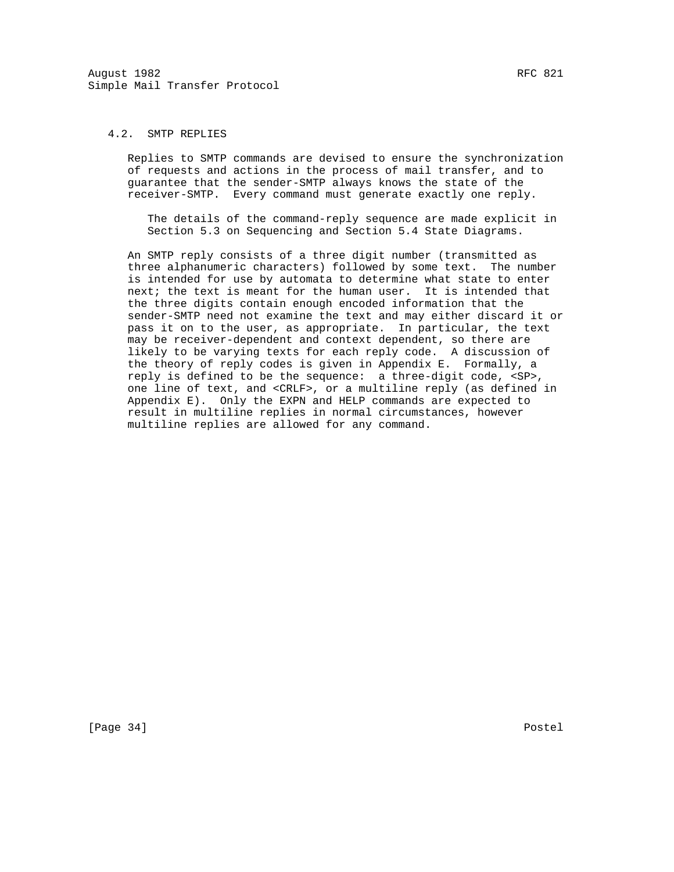# 4.2. SMTP REPLIES

 Replies to SMTP commands are devised to ensure the synchronization of requests and actions in the process of mail transfer, and to guarantee that the sender-SMTP always knows the state of the receiver-SMTP. Every command must generate exactly one reply.

 The details of the command-reply sequence are made explicit in Section 5.3 on Sequencing and Section 5.4 State Diagrams.

 An SMTP reply consists of a three digit number (transmitted as three alphanumeric characters) followed by some text. The number is intended for use by automata to determine what state to enter next; the text is meant for the human user. It is intended that the three digits contain enough encoded information that the sender-SMTP need not examine the text and may either discard it or pass it on to the user, as appropriate. In particular, the text may be receiver-dependent and context dependent, so there are likely to be varying texts for each reply code. A discussion of the theory of reply codes is given in Appendix E. Formally, a reply is defined to be the sequence: a three-digit code, <SP>, one line of text, and <CRLF>, or a multiline reply (as defined in Appendix E). Only the EXPN and HELP commands are expected to result in multiline replies in normal circumstances, however multiline replies are allowed for any command.

[Page 34] Postel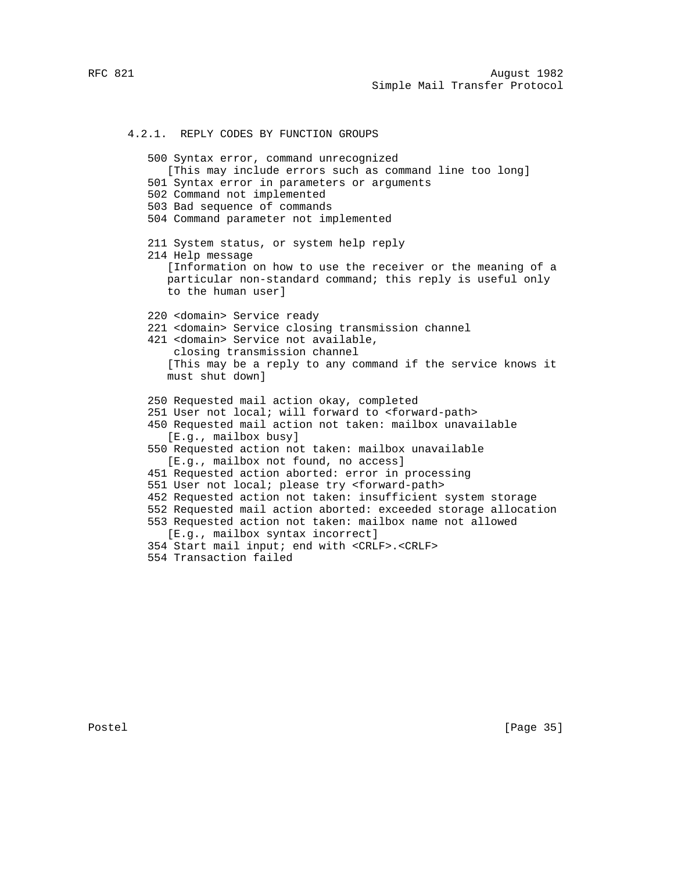RFC 821 August 1982 Simple Mail Transfer Protocol

 4.2.1. REPLY CODES BY FUNCTION GROUPS 500 Syntax error, command unrecognized [This may include errors such as command line too long] 501 Syntax error in parameters or arguments 502 Command not implemented 503 Bad sequence of commands 504 Command parameter not implemented 211 System status, or system help reply 214 Help message [Information on how to use the receiver or the meaning of a particular non-standard command; this reply is useful only to the human user] 220 <domain> Service ready 221 <domain> Service closing transmission channel 421 <domain> Service not available, closing transmission channel [This may be a reply to any command if the service knows it must shut down] 250 Requested mail action okay, completed 251 User not local; will forward to <forward-path> 450 Requested mail action not taken: mailbox unavailable [E.g., mailbox busy] 550 Requested action not taken: mailbox unavailable [E.g., mailbox not found, no access] 451 Requested action aborted: error in processing 551 User not local; please try <forward-path> 452 Requested action not taken: insufficient system storage 552 Requested mail action aborted: exceeded storage allocation 553 Requested action not taken: mailbox name not allowed [E.g., mailbox syntax incorrect] 354 Start mail input; end with <CRLF>.<CRLF> 554 Transaction failed

Postel [Page 35]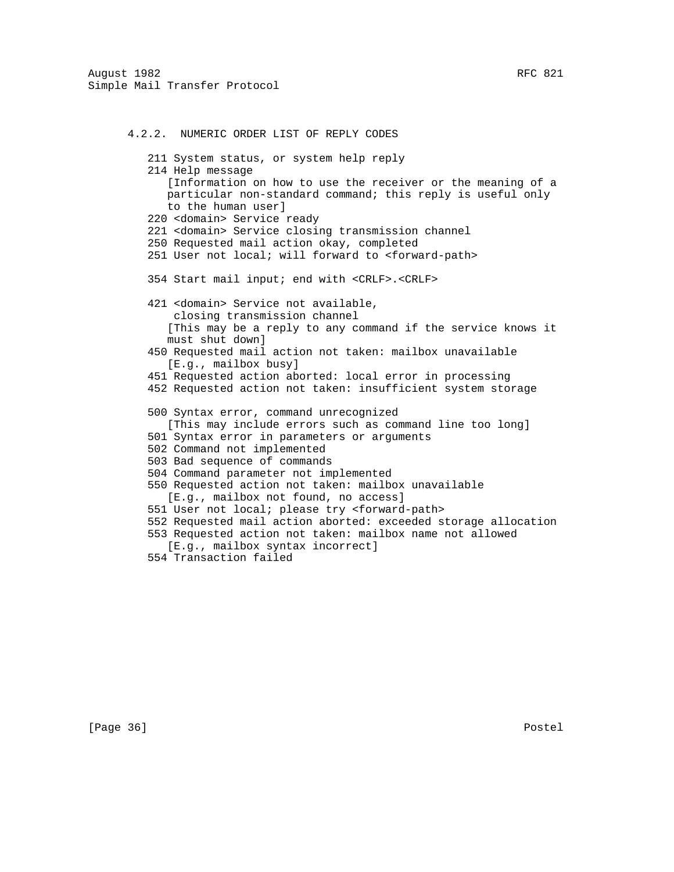4.2.2. NUMERIC ORDER LIST OF REPLY CODES 211 System status, or system help reply 214 Help message [Information on how to use the receiver or the meaning of a particular non-standard command; this reply is useful only to the human user] 220 <domain> Service ready 221 <domain> Service closing transmission channel 250 Requested mail action okay, completed 251 User not local; will forward to <forward-path> 354 Start mail input; end with <CRLF>.<CRLF> 421 <domain> Service not available, closing transmission channel [This may be a reply to any command if the service knows it must shut down] 450 Requested mail action not taken: mailbox unavailable [E.g., mailbox busy] 451 Requested action aborted: local error in processing 452 Requested action not taken: insufficient system storage 500 Syntax error, command unrecognized [This may include errors such as command line too long] 501 Syntax error in parameters or arguments 502 Command not implemented 503 Bad sequence of commands 504 Command parameter not implemented 550 Requested action not taken: mailbox unavailable [E.g., mailbox not found, no access] 551 User not local; please try <forward-path> 552 Requested mail action aborted: exceeded storage allocation 553 Requested action not taken: mailbox name not allowed [E.g., mailbox syntax incorrect] 554 Transaction failed

[Page 36] Postel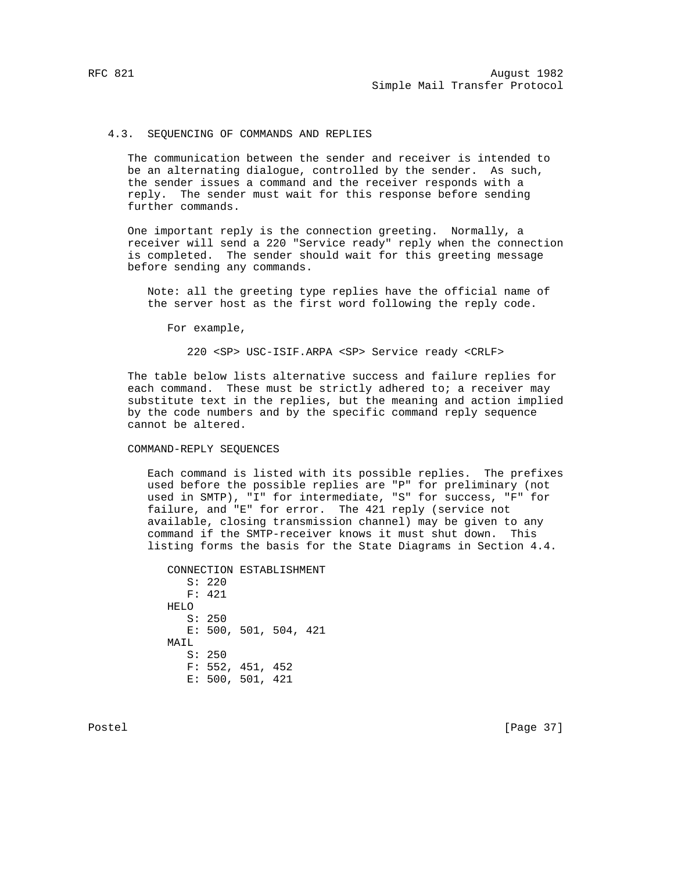## 4.3. SEQUENCING OF COMMANDS AND REPLIES

 The communication between the sender and receiver is intended to be an alternating dialogue, controlled by the sender. As such, the sender issues a command and the receiver responds with a reply. The sender must wait for this response before sending further commands.

 One important reply is the connection greeting. Normally, a receiver will send a 220 "Service ready" reply when the connection is completed. The sender should wait for this greeting message before sending any commands.

 Note: all the greeting type replies have the official name of the server host as the first word following the reply code.

For example,

220 <SP> USC-ISIF.ARPA <SP> Service ready <CRLF>

 The table below lists alternative success and failure replies for each command. These must be strictly adhered to; a receiver may substitute text in the replies, but the meaning and action implied by the code numbers and by the specific command reply sequence cannot be altered.

## COMMAND-REPLY SEQUENCES

 Each command is listed with its possible replies. The prefixes used before the possible replies are "P" for preliminary (not used in SMTP), "I" for intermediate, "S" for success, "F" for failure, and "E" for error. The 421 reply (service not available, closing transmission channel) may be given to any command if the SMTP-receiver knows it must shut down. This listing forms the basis for the State Diagrams in Section 4.4.

 CONNECTION ESTABLISHMENT S: 220 F: 421 HELO S: 250 E: 500, 501, 504, 421 MAIL S: 250 F: 552, 451, 452 E: 500, 501, 421

Postel [Page 37]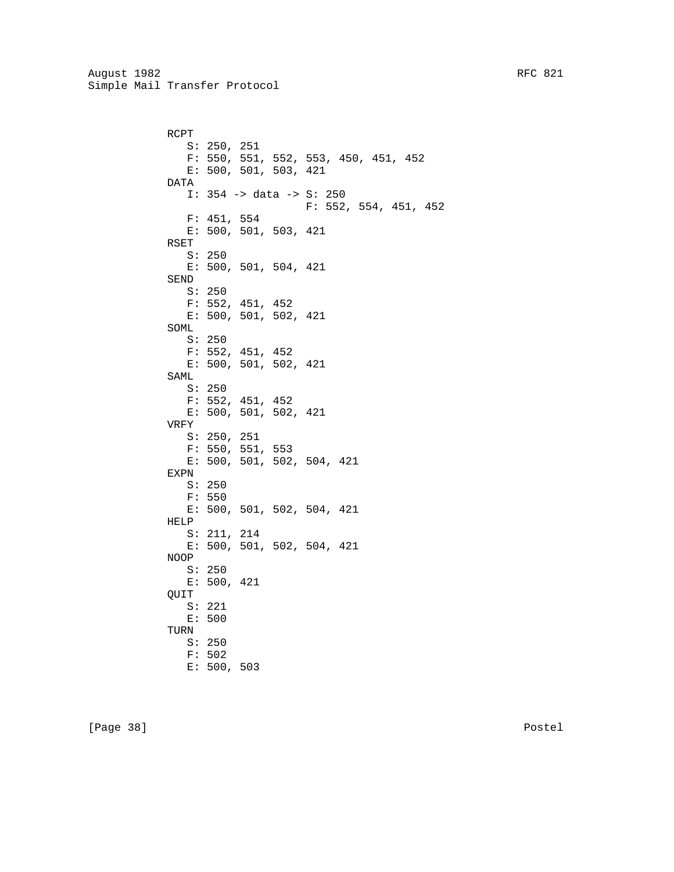RCPT S: 250, 251 F: 550, 551, 552, 553, 450, 451, 452 E: 500, 501, 503, 421 DATA I: 354 -> data -> S: 250 F: 552, 554, 451, 452 F: 451, 554 E: 500, 501, 503, 421 RSET S: 250 E: 500, 501, 504, 421 SEND S: 250 F: 552, 451, 452 E: 500, 501, 502, 421 SOML S: 250 F: 552, 451, 452 E: 500, 501, 502, 421 SAML S: 250 F: 552, 451, 452 E: 500, 501, 502, 421 VRFY S: 250, 251 F: 550, 551, 553 E: 500, 501, 502, 504, 421 EXPN S: 250 F: 550 E: 500, 501, 502, 504, 421 HELP S: 211, 214 E: 500, 501, 502, 504, 421 NOOP S: 250 E: 500, 421 QUIT S: 221 E: 500 TURN S: 250 F: 502 E: 500, 503

[Page 38] Postel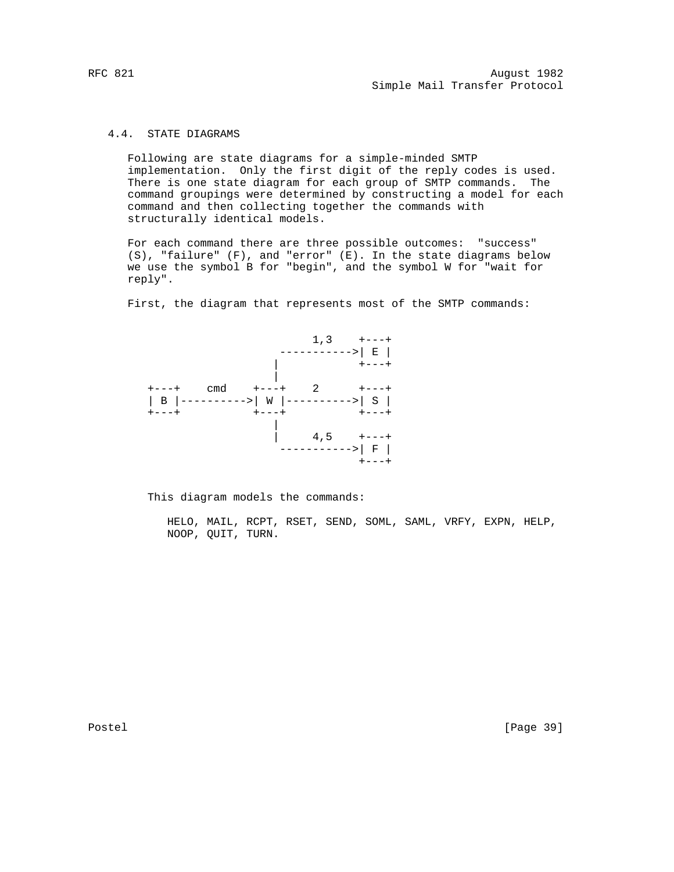# 4.4. STATE DIAGRAMS

 Following are state diagrams for a simple-minded SMTP implementation. Only the first digit of the reply codes is used. There is one state diagram for each group of SMTP commands. The command groupings were determined by constructing a model for each command and then collecting together the commands with structurally identical models.

 For each command there are three possible outcomes: "success" (S), "failure" (F), and "error" (E). In the state diagrams below we use the symbol B for "begin", and the symbol W for "wait for reply".

First, the diagram that represents most of the SMTP commands:



This diagram models the commands:

 HELO, MAIL, RCPT, RSET, SEND, SOML, SAML, VRFY, EXPN, HELP, NOOP, QUIT, TURN.

Postel [Page 39]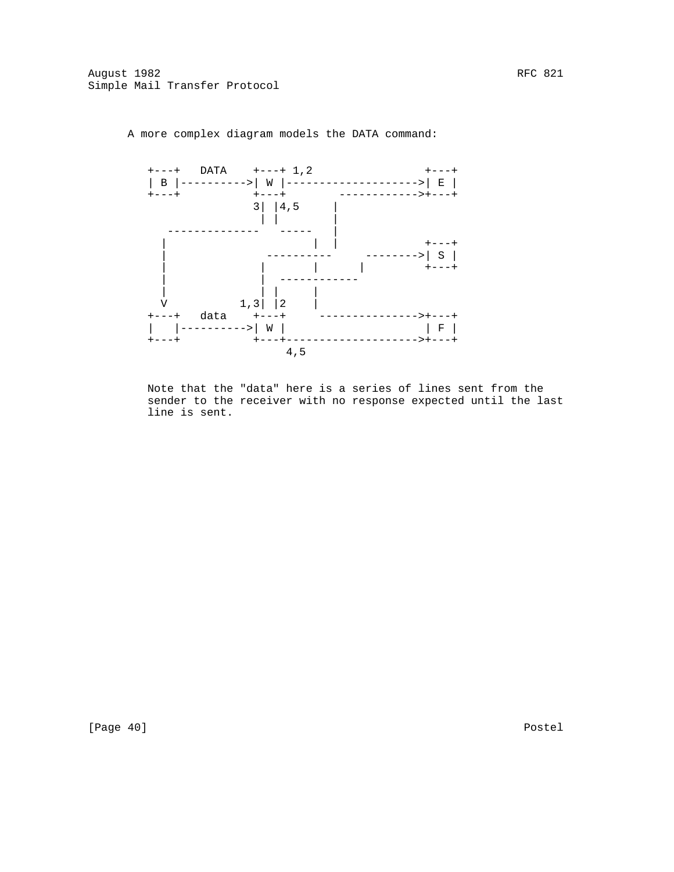

A more complex diagram models the DATA command:

 Note that the "data" here is a series of lines sent from the sender to the receiver with no response expected until the last line is sent.

[Page 40] Postel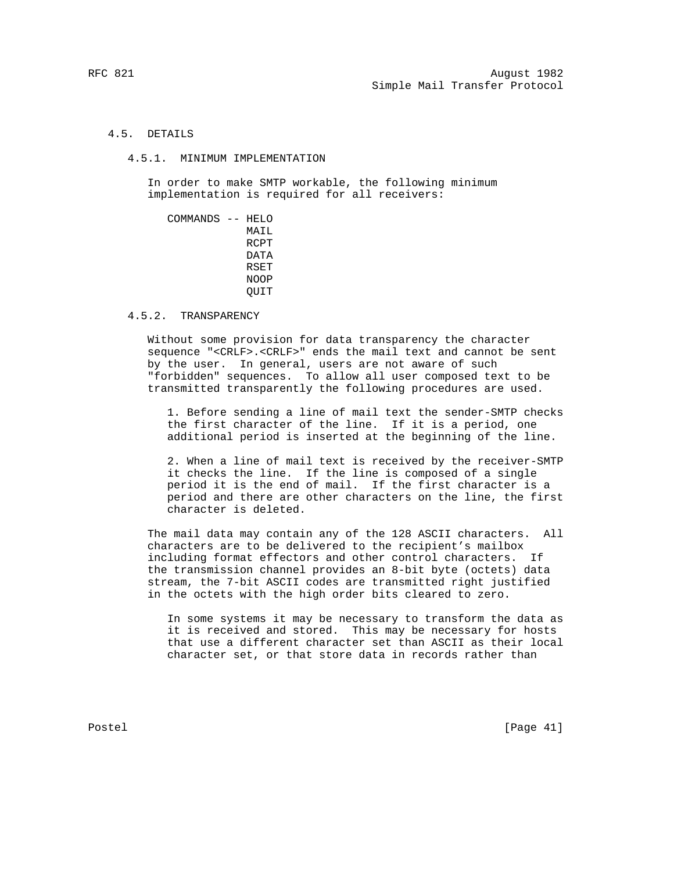## 4.5. DETAILS

# 4.5.1. MINIMUM IMPLEMENTATION

 In order to make SMTP workable, the following minimum implementation is required for all receivers:

 COMMANDS -- HELO MATT. RCPT DATA RSET NOOP QUIT

#### 4.5.2. TRANSPARENCY

 Without some provision for data transparency the character sequence "<CRLF>.<CRLF>" ends the mail text and cannot be sent by the user. In general, users are not aware of such "forbidden" sequences. To allow all user composed text to be transmitted transparently the following procedures are used.

 1. Before sending a line of mail text the sender-SMTP checks the first character of the line. If it is a period, one additional period is inserted at the beginning of the line.

 2. When a line of mail text is received by the receiver-SMTP it checks the line. If the line is composed of a single period it is the end of mail. If the first character is a period and there are other characters on the line, the first character is deleted.

 The mail data may contain any of the 128 ASCII characters. All characters are to be delivered to the recipient's mailbox including format effectors and other control characters. If the transmission channel provides an 8-bit byte (octets) data stream, the 7-bit ASCII codes are transmitted right justified in the octets with the high order bits cleared to zero.

 In some systems it may be necessary to transform the data as it is received and stored. This may be necessary for hosts that use a different character set than ASCII as their local character set, or that store data in records rather than

Postel [Page 41]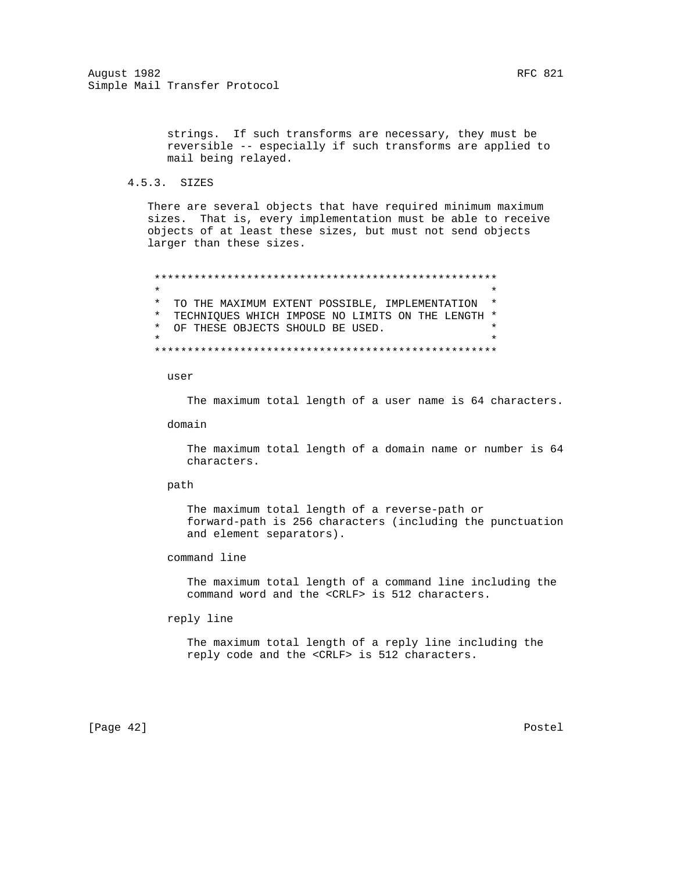strings. If such transforms are necessary, they must be reversible -- especially if such transforms are applied to mail being relayed.

4.5.3. SIZES

 There are several objects that have required minimum maximum sizes. That is, every implementation must be able to receive objects of at least these sizes, but must not send objects larger than these sizes.

```
 ****************************************************
\star *
       * TO THE MAXIMUM EXTENT POSSIBLE, IMPLEMENTATION *
       * TECHNIQUES WHICH IMPOSE NO LIMITS ON THE LENGTH *
       * OF THESE OBJECTS SHOULD BE USED. *
\star \star ****************************************************
```
user

The maximum total length of a user name is 64 characters.

domain

 The maximum total length of a domain name or number is 64 characters.

path

 The maximum total length of a reverse-path or forward-path is 256 characters (including the punctuation and element separators).

command line

 The maximum total length of a command line including the command word and the <CRLF> is 512 characters.

reply line

 The maximum total length of a reply line including the reply code and the <CRLF> is 512 characters.

[Page 42] Postel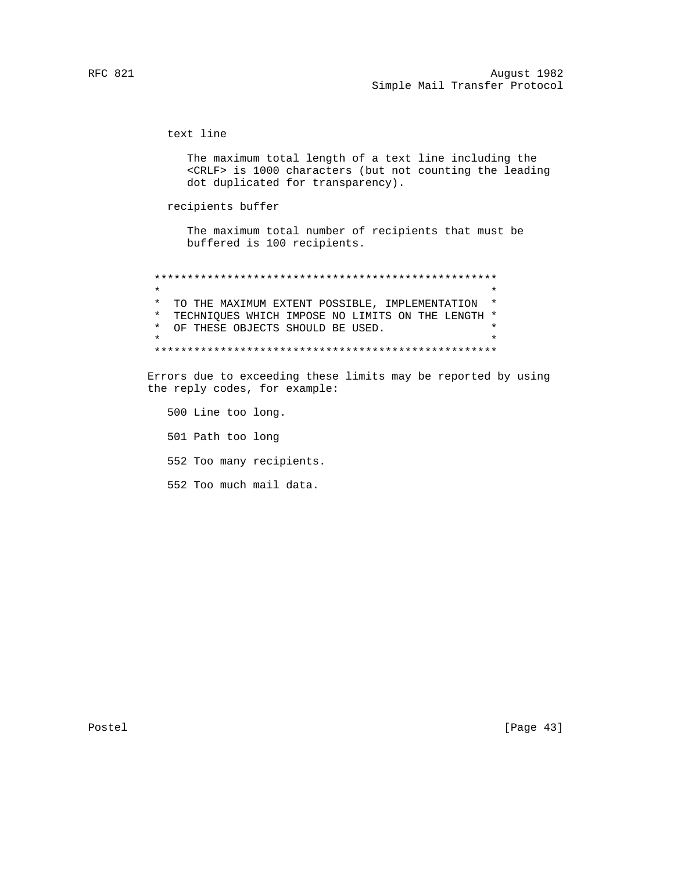text line

 The maximum total length of a text line including the <CRLF> is 1000 characters (but not counting the leading dot duplicated for transparency).

recipients buffer

 The maximum total number of recipients that must be buffered is 100 recipients.

```
 ****************************************************
\star *
       * TO THE MAXIMUM EXTENT POSSIBLE, IMPLEMENTATION *
       * TECHNIQUES WHICH IMPOSE NO LIMITS ON THE LENGTH *
       * OF THESE OBJECTS SHOULD BE USED. *
\star \star ****************************************************
```
 Errors due to exceeding these limits may be reported by using the reply codes, for example:

 500 Line too long. 501 Path too long 552 Too many recipients. 552 Too much mail data.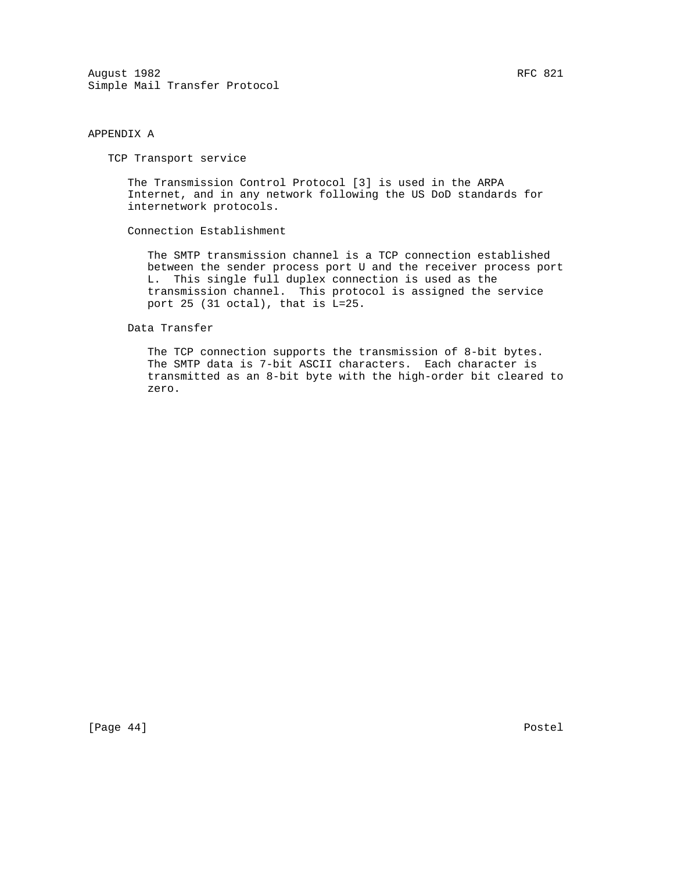August 1982 RFC 821 Simple Mail Transfer Protocol

# APPENDIX A

TCP Transport service

 The Transmission Control Protocol [3] is used in the ARPA Internet, and in any network following the US DoD standards for internetwork protocols.

# Connection Establishment

 The SMTP transmission channel is a TCP connection established between the sender process port U and the receiver process port L. This single full duplex connection is used as the transmission channel. This protocol is assigned the service port 25 (31 octal), that is L=25.

Data Transfer

 The TCP connection supports the transmission of 8-bit bytes. The SMTP data is 7-bit ASCII characters. Each character is transmitted as an 8-bit byte with the high-order bit cleared to zero.

[Page 44] Postel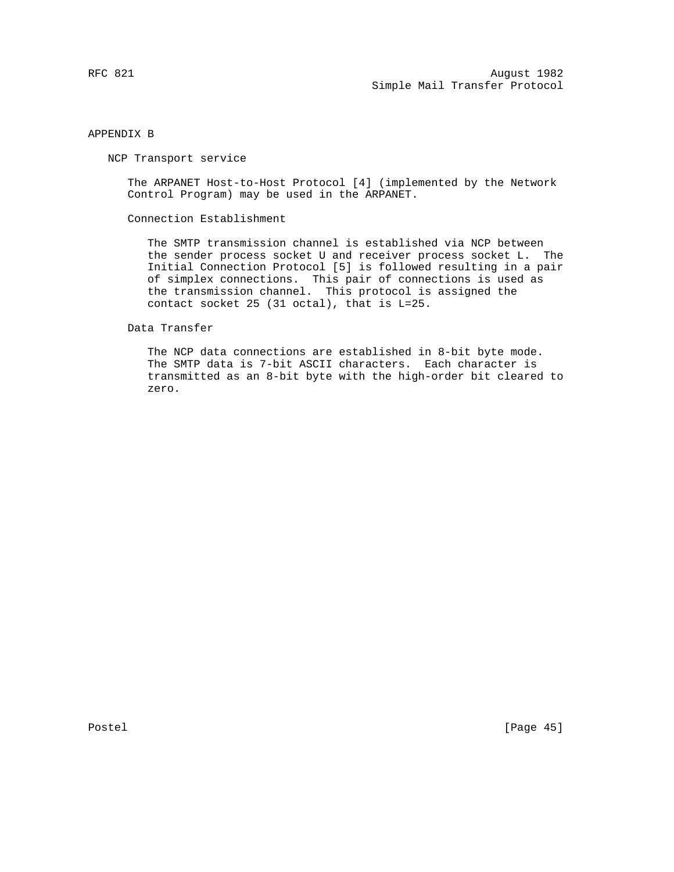# APPENDIX B

NCP Transport service

 The ARPANET Host-to-Host Protocol [4] (implemented by the Network Control Program) may be used in the ARPANET.

Connection Establishment

 The SMTP transmission channel is established via NCP between the sender process socket U and receiver process socket L. The Initial Connection Protocol [5] is followed resulting in a pair of simplex connections. This pair of connections is used as the transmission channel. This protocol is assigned the contact socket 25 (31 octal), that is L=25.

Data Transfer

 The NCP data connections are established in 8-bit byte mode. The SMTP data is 7-bit ASCII characters. Each character is transmitted as an 8-bit byte with the high-order bit cleared to zero.

Postel [Page 45]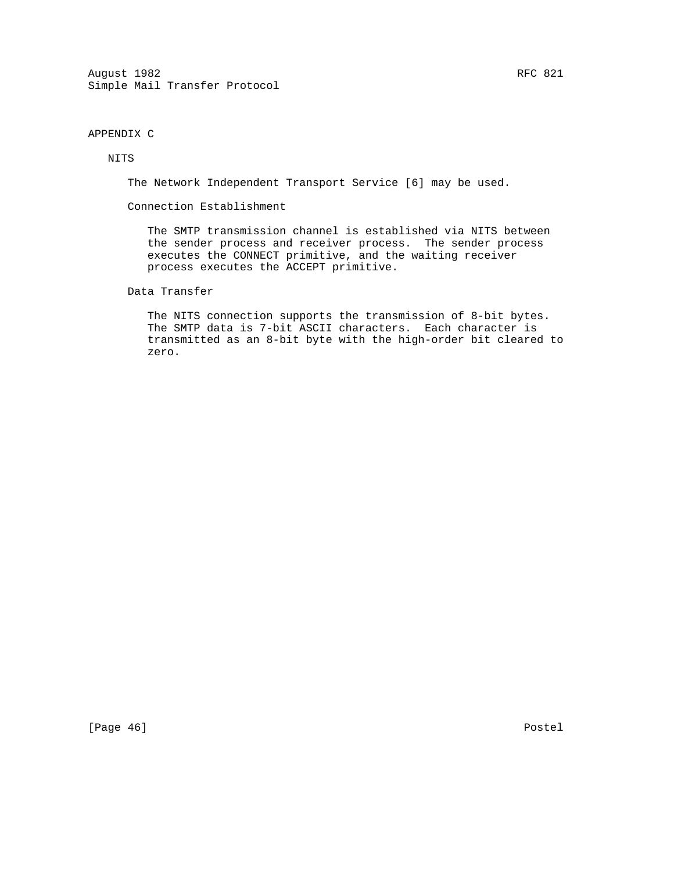August 1982 RFC 821 Simple Mail Transfer Protocol

# APPENDIX C

NITS

The Network Independent Transport Service [6] may be used.

Connection Establishment

 The SMTP transmission channel is established via NITS between the sender process and receiver process. The sender process executes the CONNECT primitive, and the waiting receiver process executes the ACCEPT primitive.

Data Transfer

 The NITS connection supports the transmission of 8-bit bytes. The SMTP data is 7-bit ASCII characters. Each character is transmitted as an 8-bit byte with the high-order bit cleared to zero.

[Page 46] Postel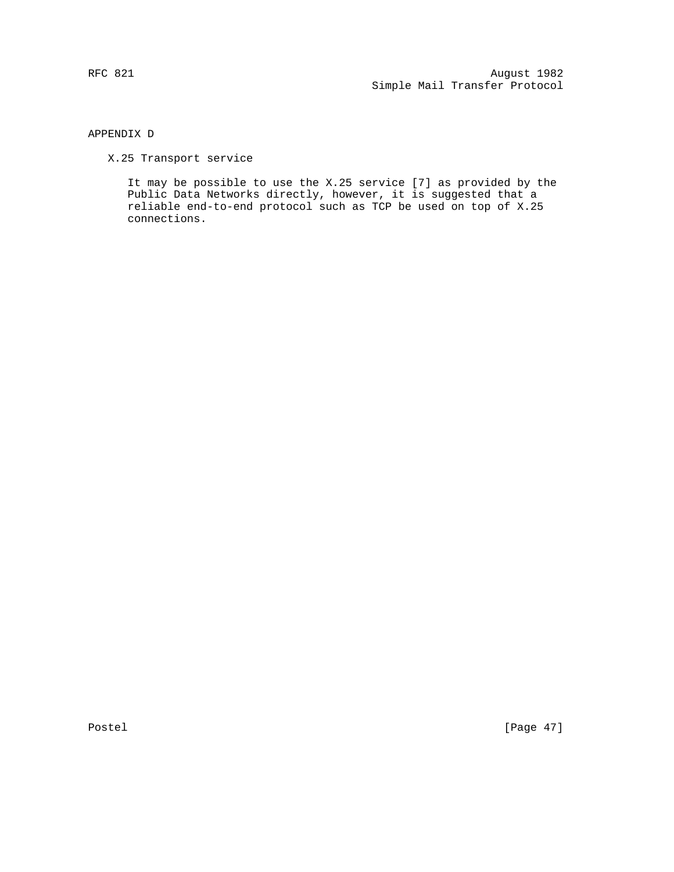# APPENDIX D

X.25 Transport service

 It may be possible to use the X.25 service [7] as provided by the Public Data Networks directly, however, it is suggested that a reliable end-to-end protocol such as TCP be used on top of X.25 connections.

Postel [Page 47]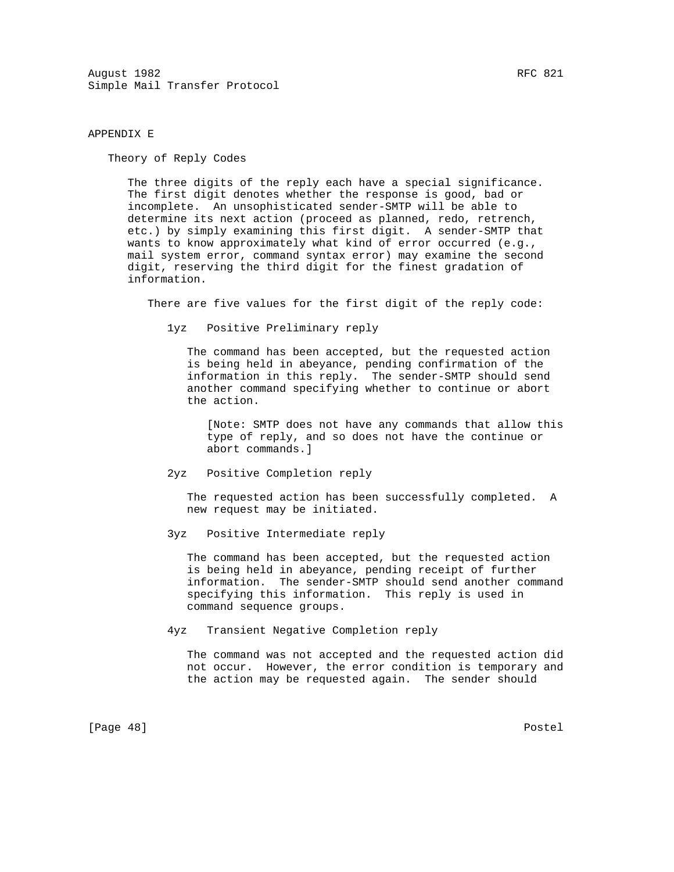August 1982 RFC 821 Simple Mail Transfer Protocol

# APPENDIX E

Theory of Reply Codes

 The three digits of the reply each have a special significance. The first digit denotes whether the response is good, bad or incomplete. An unsophisticated sender-SMTP will be able to determine its next action (proceed as planned, redo, retrench, etc.) by simply examining this first digit. A sender-SMTP that wants to know approximately what kind of error occurred (e.g., mail system error, command syntax error) may examine the second digit, reserving the third digit for the finest gradation of information.

There are five values for the first digit of the reply code:

1yz Positive Preliminary reply

 The command has been accepted, but the requested action is being held in abeyance, pending confirmation of the information in this reply. The sender-SMTP should send another command specifying whether to continue or abort the action.

 [Note: SMTP does not have any commands that allow this type of reply, and so does not have the continue or abort commands.]

2yz Positive Completion reply

 The requested action has been successfully completed. A new request may be initiated.

3yz Positive Intermediate reply

 The command has been accepted, but the requested action is being held in abeyance, pending receipt of further information. The sender-SMTP should send another command specifying this information. This reply is used in command sequence groups.

4yz Transient Negative Completion reply

 The command was not accepted and the requested action did not occur. However, the error condition is temporary and the action may be requested again. The sender should

[Page 48] Postel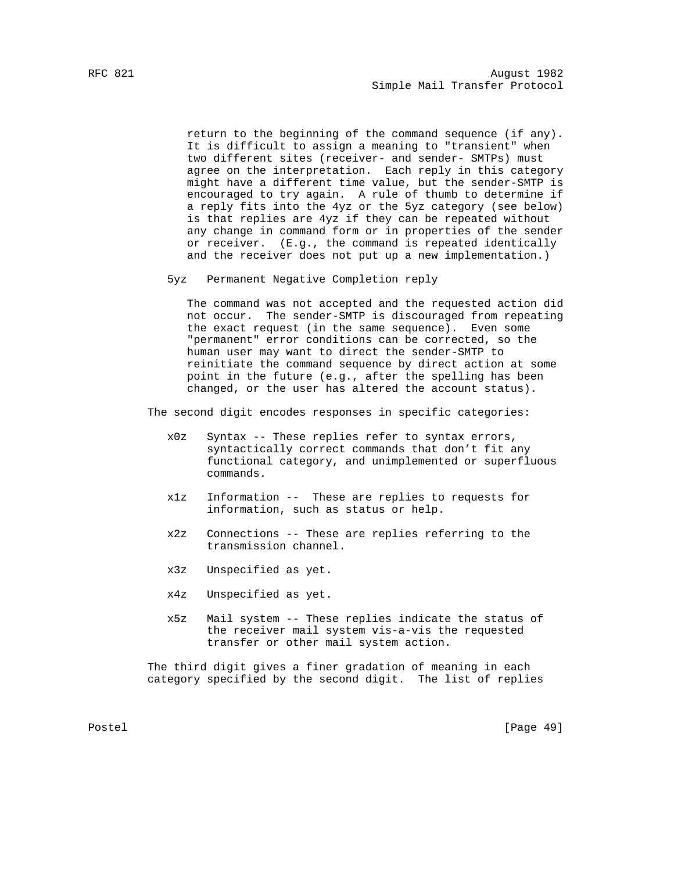return to the beginning of the command sequence (if any). It is difficult to assign a meaning to "transient" when two different sites (receiver- and sender- SMTPs) must agree on the interpretation. Each reply in this category might have a different time value, but the sender-SMTP is encouraged to try again. A rule of thumb to determine if a reply fits into the 4yz or the 5yz category (see below) is that replies are 4yz if they can be repeated without any change in command form or in properties of the sender or receiver. (E.g., the command is repeated identically and the receiver does not put up a new implementation.)

5yz Permanent Negative Completion reply

 The command was not accepted and the requested action did not occur. The sender-SMTP is discouraged from repeating the exact request (in the same sequence). Even some "permanent" error conditions can be corrected, so the human user may want to direct the sender-SMTP to reinitiate the command sequence by direct action at some point in the future (e.g., after the spelling has been changed, or the user has altered the account status).

The second digit encodes responses in specific categories:

- x0z Syntax -- These replies refer to syntax errors, syntactically correct commands that don't fit any functional category, and unimplemented or superfluous commands.
- x1z Information -- These are replies to requests for information, such as status or help.
- x2z Connections -- These are replies referring to the transmission channel.
- x3z Unspecified as yet.
- x4z Unspecified as yet.
- x5z Mail system -- These replies indicate the status of the receiver mail system vis-a-vis the requested transfer or other mail system action.

 The third digit gives a finer gradation of meaning in each category specified by the second digit. The list of replies

Postel [Page 49]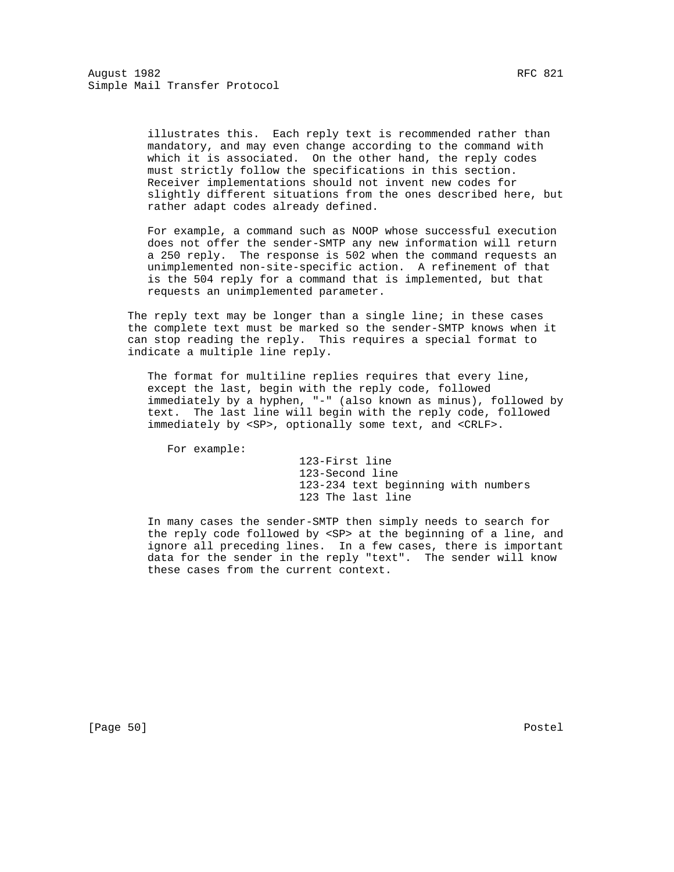illustrates this. Each reply text is recommended rather than mandatory, and may even change according to the command with which it is associated. On the other hand, the reply codes must strictly follow the specifications in this section. Receiver implementations should not invent new codes for slightly different situations from the ones described here, but rather adapt codes already defined.

 For example, a command such as NOOP whose successful execution does not offer the sender-SMTP any new information will return a 250 reply. The response is 502 when the command requests an unimplemented non-site-specific action. A refinement of that is the 504 reply for a command that is implemented, but that requests an unimplemented parameter.

The reply text may be longer than a single line; in these cases the complete text must be marked so the sender-SMTP knows when it can stop reading the reply. This requires a special format to indicate a multiple line reply.

 The format for multiline replies requires that every line, except the last, begin with the reply code, followed immediately by a hyphen, "-" (also known as minus), followed by text. The last line will begin with the reply code, followed immediately by <SP>, optionally some text, and <CRLF>.

For example:

 123-First line 123-Second line 123-234 text beginning with numbers 123 The last line

 In many cases the sender-SMTP then simply needs to search for the reply code followed by <SP> at the beginning of a line, and ignore all preceding lines. In a few cases, there is important data for the sender in the reply "text". The sender will know these cases from the current context.

[Page 50] Postel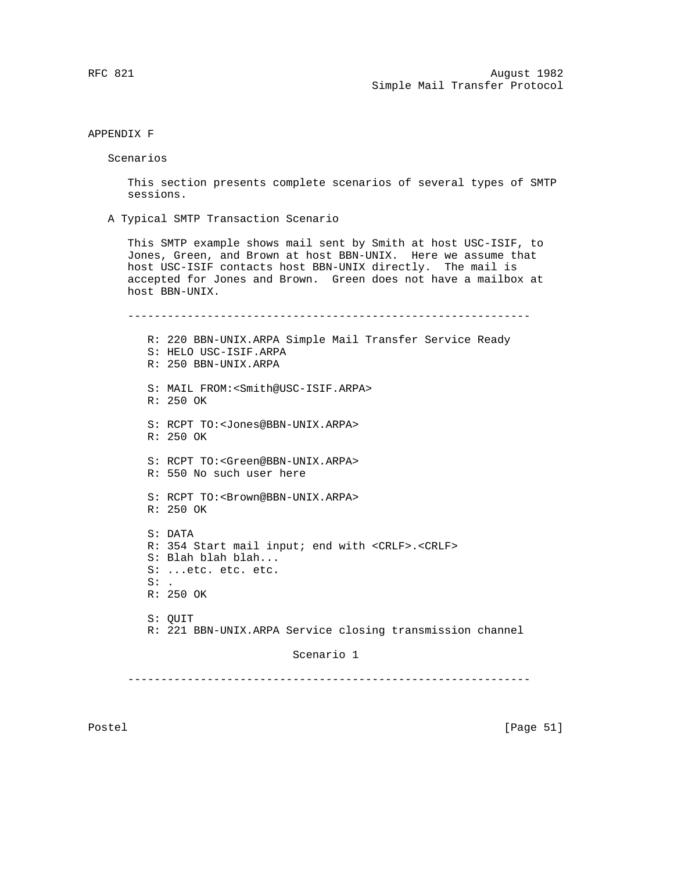# APPENDIX F

Scenarios

 This section presents complete scenarios of several types of SMTP sessions.

A Typical SMTP Transaction Scenario

 This SMTP example shows mail sent by Smith at host USC-ISIF, to Jones, Green, and Brown at host BBN-UNIX. Here we assume that host USC-ISIF contacts host BBN-UNIX directly. The mail is accepted for Jones and Brown. Green does not have a mailbox at host BBN-UNIX.

-------------------------------------------------------------

 R: 220 BBN-UNIX.ARPA Simple Mail Transfer Service Ready S: HELO USC-ISIF.ARPA R: 250 BBN-UNIX.ARPA S: MAIL FROM:<Smith@USC-ISIF.ARPA> R: 250 OK S: RCPT TO:<Jones@BBN-UNIX.ARPA> R: 250 OK S: RCPT TO:<Green@BBN-UNIX.ARPA> R: 550 No such user here S: RCPT TO:<Brown@BBN-UNIX.ARPA> R: 250 OK S: DATA R: 354 Start mail input; end with <CRLF>.<CRLF> S: Blah blah blah... S: ...etc. etc. etc.  $S:$ . R: 250 OK S: QUIT R: 221 BBN-UNIX.ARPA Service closing transmission channel

## Scenario 1

-------------------------------------------------------------

Postel [Page 51]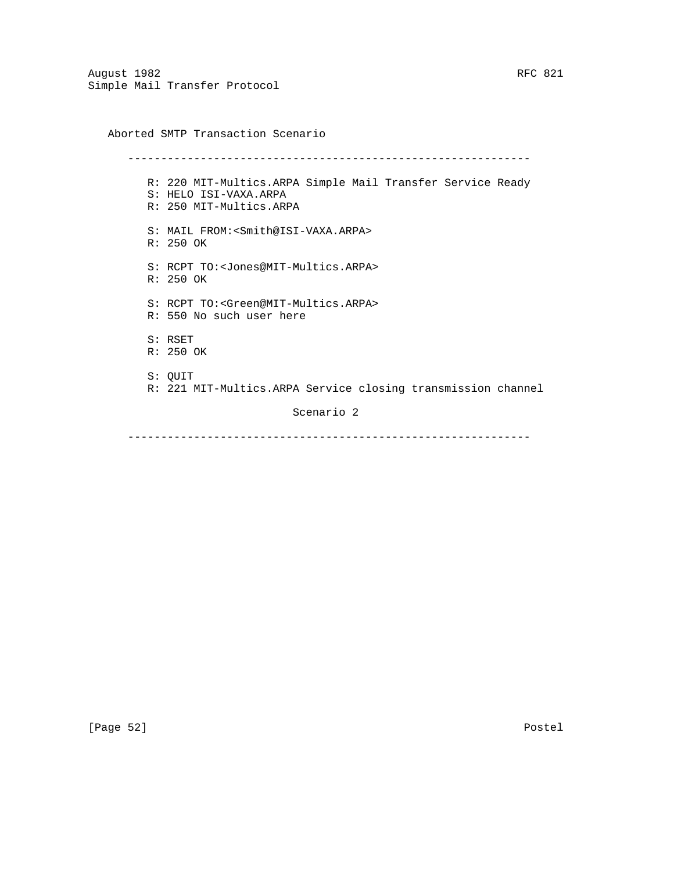August 1982 RFC 821 Simple Mail Transfer Protocol

```
 Aborted SMTP Transaction Scenario
    -------------------------------------------------------------
```
 R: 220 MIT-Multics.ARPA Simple Mail Transfer Service Ready S: HELO ISI-VAXA.ARPA R: 250 MIT-Multics.ARPA S: MAIL FROM:<Smith@ISI-VAXA.ARPA> R: 250 OK S: RCPT TO:<Jones@MIT-Multics.ARPA> R: 250 OK S: RCPT TO:<Green@MIT-Multics.ARPA> R: 550 No such user here S: RSET R: 250 OK S: QUIT R: 221 MIT-Multics.ARPA Service closing transmission channel Scenario 2

-------------------------------------------------------------

[Page 52] Postel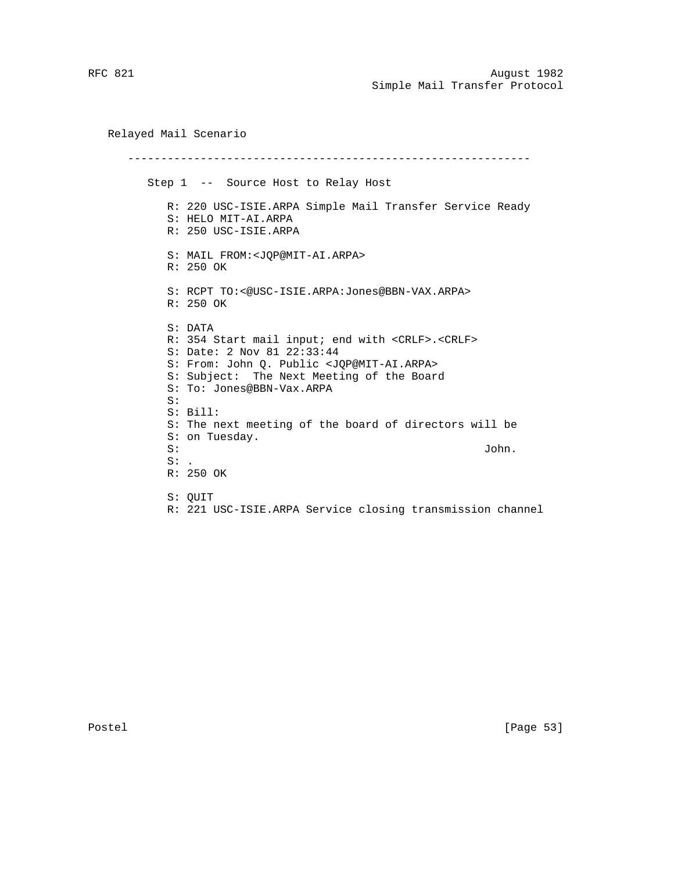Relayed Mail Scenario ------------------------------------------------------------- Step 1 -- Source Host to Relay Host R: 220 USC-ISIE.ARPA Simple Mail Transfer Service Ready S: HELO MIT-AI.ARPA R: 250 USC-ISIE.ARPA S: MAIL FROM:<JQP@MIT-AI.ARPA> R: 250 OK S: RCPT TO:<@USC-ISIE.ARPA:Jones@BBN-VAX.ARPA> R: 250 OK S: DATA R: 354 Start mail input; end with <CRLF>.<CRLF> S: Date: 2 Nov 81 22:33:44 S: From: John Q. Public <JQP@MIT-AI.ARPA> S: Subject: The Next Meeting of the Board S: To: Jones@BBN-Vax.ARPA S: S: Bill: S: The next meeting of the board of directors will be S: on Tuesday.  $S:$  John.  $S:$  . R: 250 OK S: QUIT R: 221 USC-ISIE.ARPA Service closing transmission channel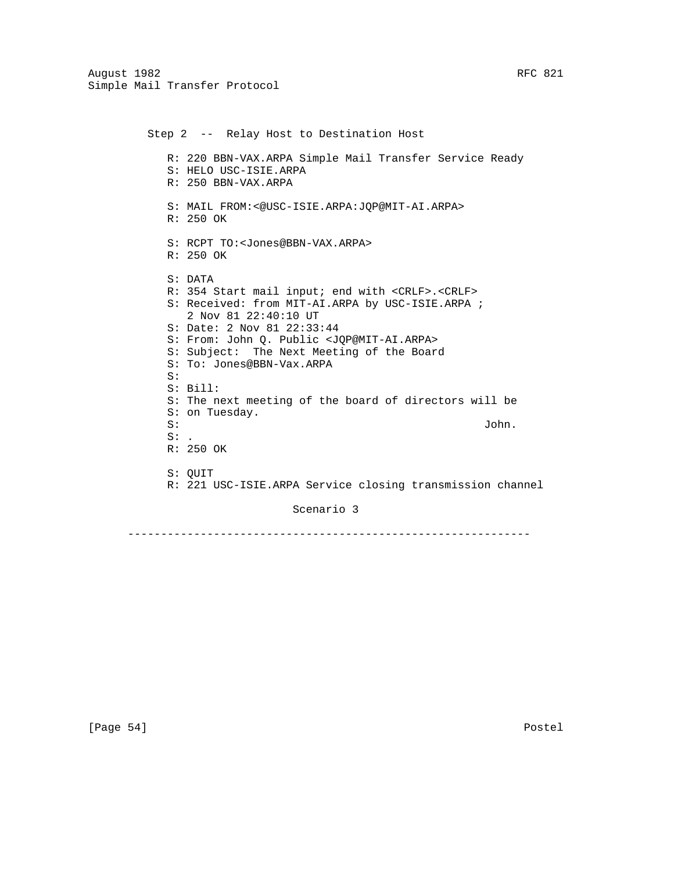```
August 1982 RFC 821
Simple Mail Transfer Protocol
```
 Step 2 -- Relay Host to Destination Host R: 220 BBN-VAX.ARPA Simple Mail Transfer Service Ready S: HELO USC-ISIE.ARPA R: 250 BBN-VAX.ARPA S: MAIL FROM:<@USC-ISIE.ARPA:JQP@MIT-AI.ARPA> R: 250 OK S: RCPT TO:<Jones@BBN-VAX.ARPA> R: 250 OK S: DATA R: 354 Start mail input; end with <CRLF>.<CRLF> S: Received: from MIT-AI.ARPA by USC-ISIE.ARPA ; 2 Nov 81 22:40:10 UT S: Date: 2 Nov 81 22:33:44 S: From: John Q. Public <JQP@MIT-AI.ARPA> S: Subject: The Next Meeting of the Board S: To: Jones@BBN-Vax.ARPA S: S: Bill: S: The next meeting of the board of directors will be S: on Tuesday.<br>S:  $S:$  John.  $S:$  . R: 250 OK S: QUIT R: 221 USC-ISIE.ARPA Service closing transmission channel Scenario 3

-------------------------------------------------------------

[Page 54] Postel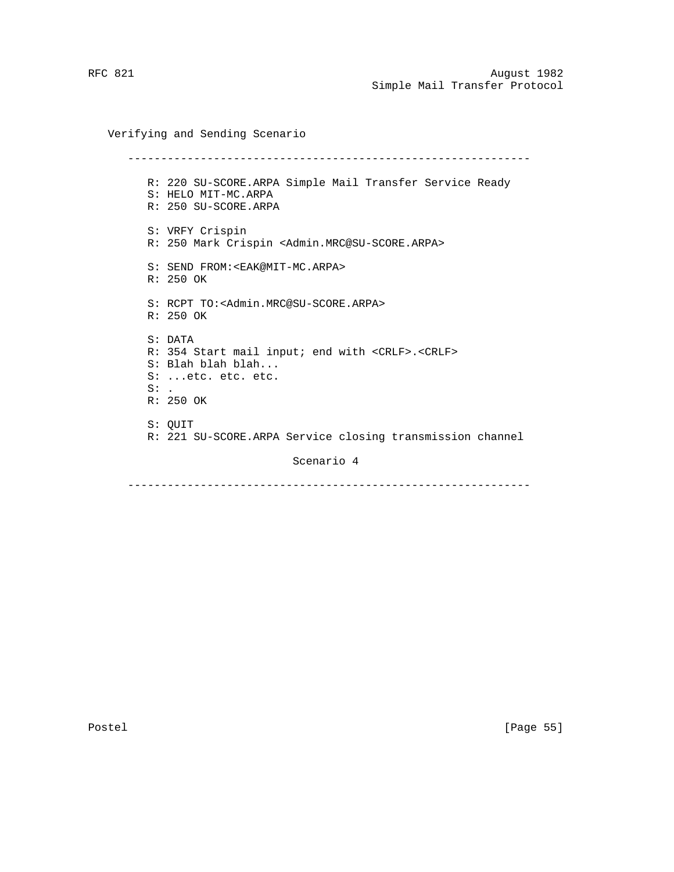Verifying and Sending Scenario

 ------------------------------------------------------------- R: 220 SU-SCORE.ARPA Simple Mail Transfer Service Ready S: HELO MIT-MC.ARPA R: 250 SU-SCORE.ARPA S: VRFY Crispin R: 250 Mark Crispin <Admin.MRC@SU-SCORE.ARPA> S: SEND FROM:<EAK@MIT-MC.ARPA> R: 250 OK S: RCPT TO:<Admin.MRC@SU-SCORE.ARPA> R: 250 OK S: DATA R: 354 Start mail input; end with <CRLF>.<CRLF> S: Blah blah blah... S: ...etc. etc. etc.  $S:$  R: 250 OK S: QUIT R: 221 SU-SCORE.ARPA Service closing transmission channel Scenario 4

-------------------------------------------------------------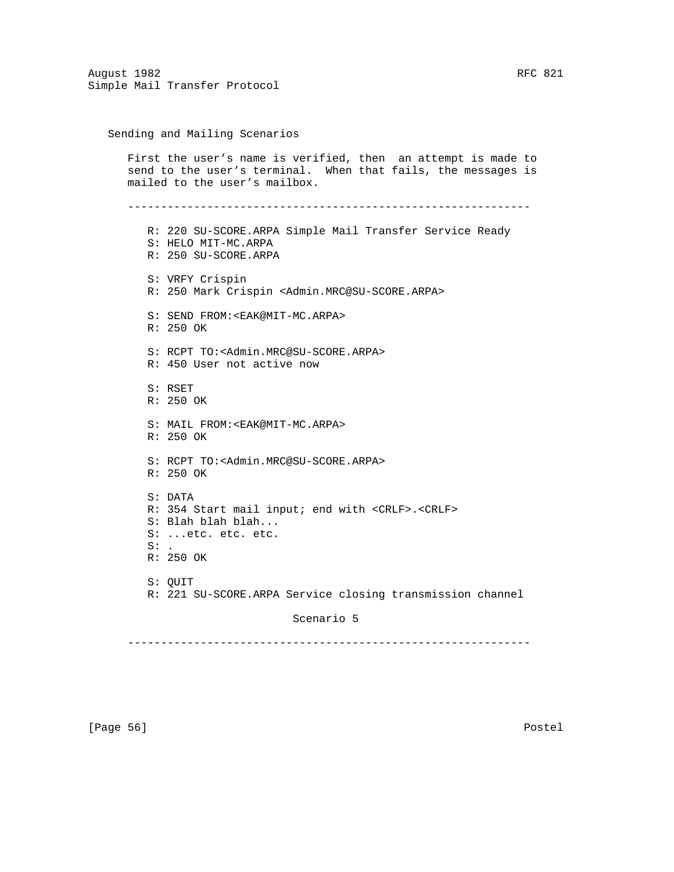August 1982 RFC 821 Simple Mail Transfer Protocol

 Sending and Mailing Scenarios First the user's name is verified, then an attempt is made to send to the user's terminal. When that fails, the messages is mailed to the user's mailbox. ------------------------------------------------------------- R: 220 SU-SCORE.ARPA Simple Mail Transfer Service Ready S: HELO MIT-MC.ARPA R: 250 SU-SCORE.ARPA S: VRFY Crispin R: 250 Mark Crispin <Admin.MRC@SU-SCORE.ARPA> S: SEND FROM:<EAK@MIT-MC.ARPA> R: 250 OK S: RCPT TO:<Admin.MRC@SU-SCORE.ARPA> R: 450 User not active now S: RSET R: 250 OK S: MAIL FROM:<EAK@MIT-MC.ARPA> R: 250 OK S: RCPT TO:<Admin.MRC@SU-SCORE.ARPA> R: 250 OK S: DATA R: 354 Start mail input; end with <CRLF>.<CRLF> S: Blah blah blah... S: ...etc. etc. etc.  $S:$  R: 250 OK S: QUIT R: 221 SU-SCORE.ARPA Service closing transmission channel Scenario 5

-------------------------------------------------------------

[Page 56] Postel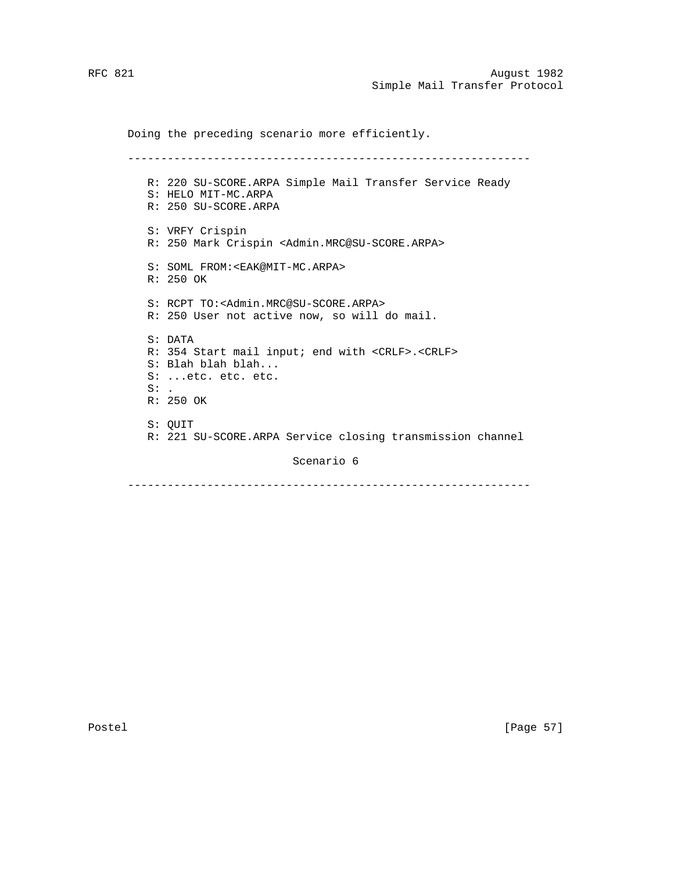Doing the preceding scenario more efficiently. ------------------------------------------------------------- R: 220 SU-SCORE.ARPA Simple Mail Transfer Service Ready S: HELO MIT-MC.ARPA R: 250 SU-SCORE.ARPA S: VRFY Crispin R: 250 Mark Crispin <Admin.MRC@SU-SCORE.ARPA> S: SOML FROM:<EAK@MIT-MC.ARPA> R: 250 OK S: RCPT TO:<Admin.MRC@SU-SCORE.ARPA> R: 250 User not active now, so will do mail. S: DATA R: 354 Start mail input; end with <CRLF>.<CRLF> S: Blah blah blah... S: ...etc. etc. etc.  $S:$  R: 250 OK S: QUIT R: 221 SU-SCORE.ARPA Service closing transmission channel Scenario 6

-------------------------------------------------------------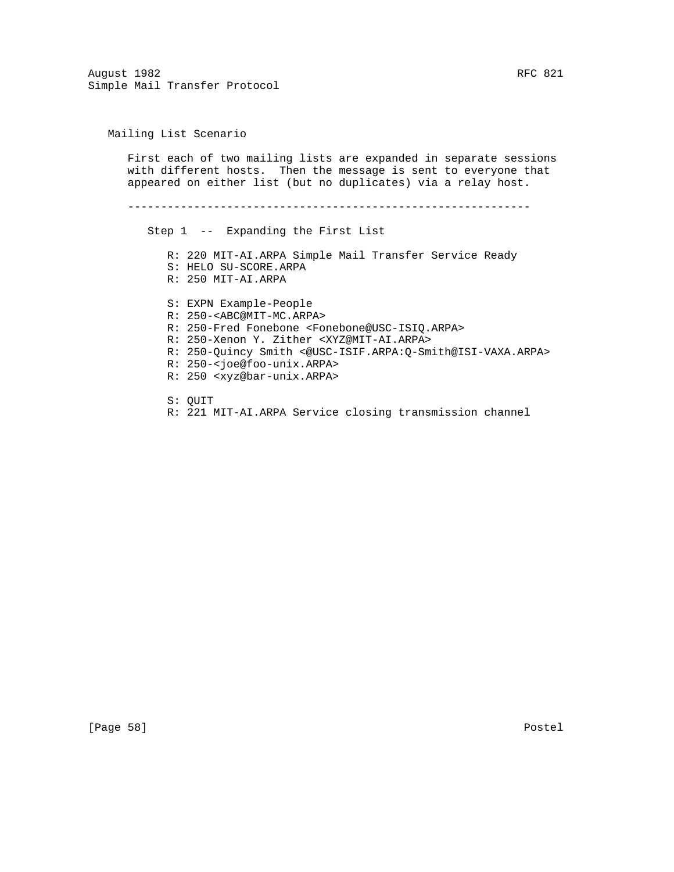August 1982 RFC 821 Simple Mail Transfer Protocol

 Mailing List Scenario First each of two mailing lists are expanded in separate sessions with different hosts. Then the message is sent to everyone that appeared on either list (but no duplicates) via a relay host. ------------------------------------------------------------- Step 1 -- Expanding the First List R: 220 MIT-AI.ARPA Simple Mail Transfer Service Ready S: HELO SU-SCORE.ARPA R: 250 MIT-AI.ARPA S: EXPN Example-People R: 250-<ABC@MIT-MC.ARPA> R: 250-Fred Fonebone <Fonebone@USC-ISIQ.ARPA> R: 250-Xenon Y. Zither <XYZ@MIT-AI.ARPA> R: 250-Quincy Smith <@USC-ISIF.ARPA:Q-Smith@ISI-VAXA.ARPA> R: 250-<joe@foo-unix.ARPA> R: 250 <xyz@bar-unix.ARPA> S: QUIT R: 221 MIT-AI.ARPA Service closing transmission channel

[Page 58] Postel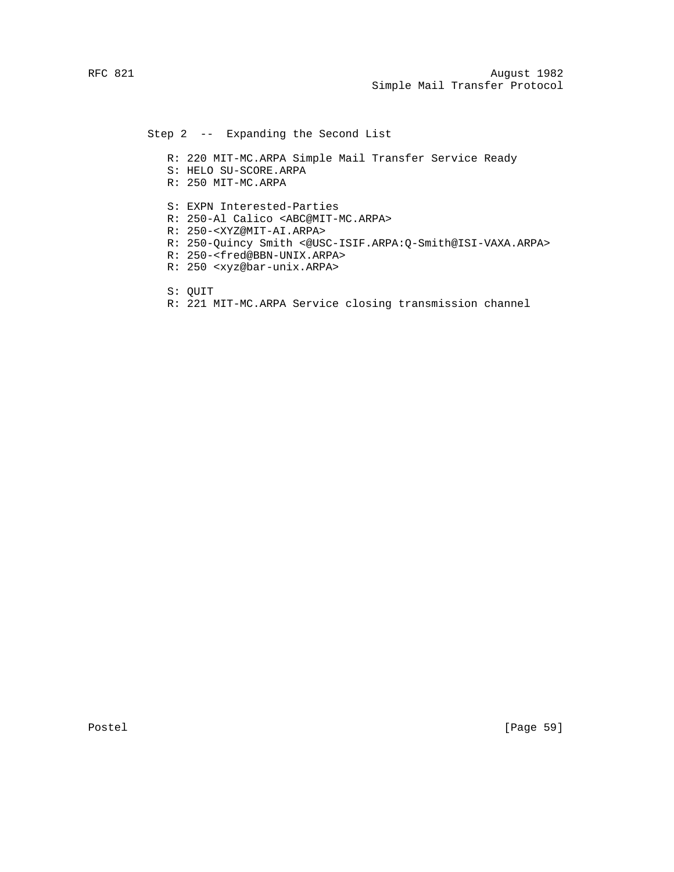Step 2 -- Expanding the Second List

 R: 220 MIT-MC.ARPA Simple Mail Transfer Service Ready S: HELO SU-SCORE.ARPA

R: 250 MIT-MC.ARPA

S: EXPN Interested-Parties

- R: 250-Al Calico <ABC@MIT-MC.ARPA>
- R: 250-<XYZ@MIT-AI.ARPA>
- R: 250-Quincy Smith <@USC-ISIF.ARPA:Q-Smith@ISI-VAXA.ARPA>
- R: 250-<fred@BBN-UNIX.ARPA>
- R: 250 <xyz@bar-unix.ARPA>
- S: QUIT
- R: 221 MIT-MC.ARPA Service closing transmission channel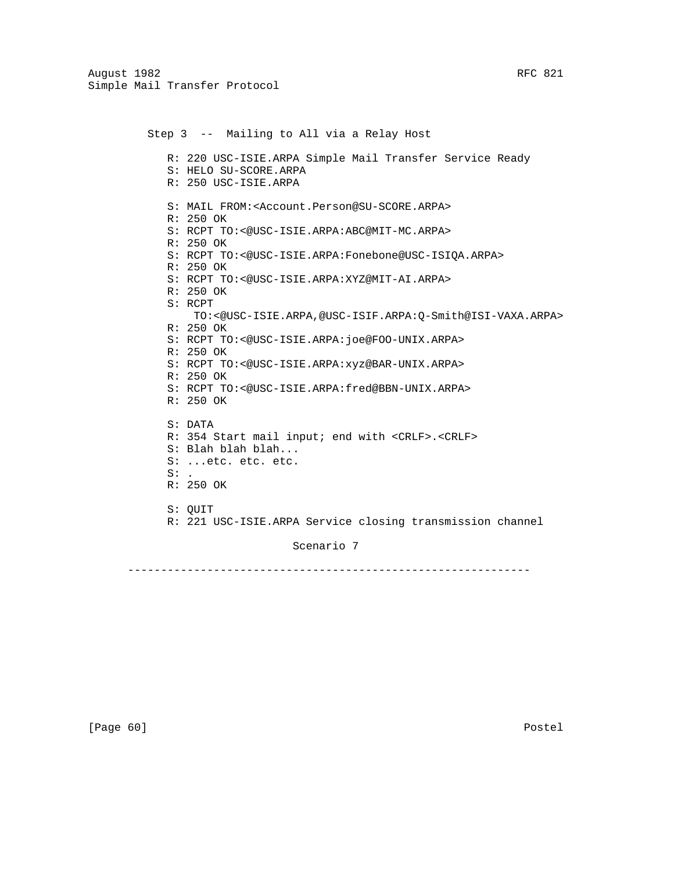Step 3 -- Mailing to All via a Relay Host R: 220 USC-ISIE.ARPA Simple Mail Transfer Service Ready S: HELO SU-SCORE.ARPA R: 250 USC-ISIE.ARPA S: MAIL FROM:<Account.Person@SU-SCORE.ARPA> R: 250 OK S: RCPT TO:<@USC-ISIE.ARPA:ABC@MIT-MC.ARPA> R: 250 OK S: RCPT TO:<@USC-ISIE.ARPA:Fonebone@USC-ISIQA.ARPA> R: 250 OK S: RCPT TO:<@USC-ISIE.ARPA:XYZ@MIT-AI.ARPA> R: 250 OK S: RCPT TO:<@USC-ISIE.ARPA,@USC-ISIF.ARPA:Q-Smith@ISI-VAXA.ARPA> R: 250 OK S: RCPT TO:<@USC-ISIE.ARPA:joe@FOO-UNIX.ARPA> R: 250 OK S: RCPT TO:<@USC-ISIE.ARPA:xyz@BAR-UNIX.ARPA> R: 250 OK S: RCPT TO:<@USC-ISIE.ARPA:fred@BBN-UNIX.ARPA> R: 250 OK S: DATA R: 354 Start mail input; end with <CRLF>.<CRLF> S: Blah blah blah... S: ...etc. etc. etc.  $S:$ . R: 250 OK S: QUIT R: 221 USC-ISIE.ARPA Service closing transmission channel Scenario 7

-------------------------------------------------------------

[Page 60] Postel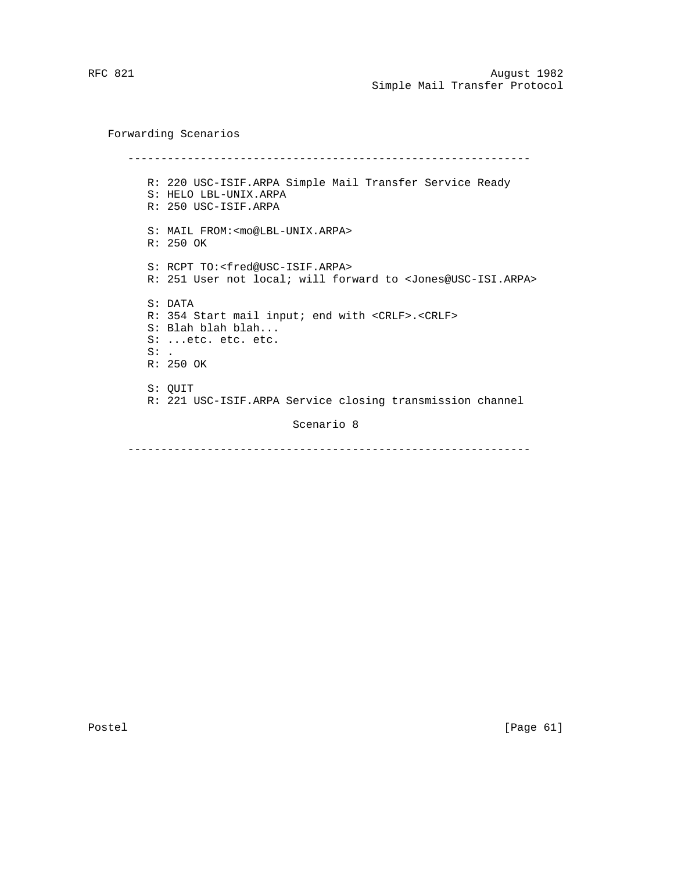Forwarding Scenarios ------------------------------------------------------------- R: 220 USC-ISIF.ARPA Simple Mail Transfer Service Ready S: HELO LBL-UNIX.ARPA R: 250 USC-ISIF.ARPA S: MAIL FROM:<mo@LBL-UNIX.ARPA> R: 250 OK S: RCPT TO:<fred@USC-ISIF.ARPA> R: 251 User not local; will forward to <Jones@USC-ISI.ARPA> S: DATA R: 354 Start mail input; end with <CRLF>.<CRLF> S: Blah blah blah... S: ...etc. etc. etc.  $S:$ . R: 250 OK S: QUIT R: 221 USC-ISIF.ARPA Service closing transmission channel

Scenario 8

-------------------------------------------------------------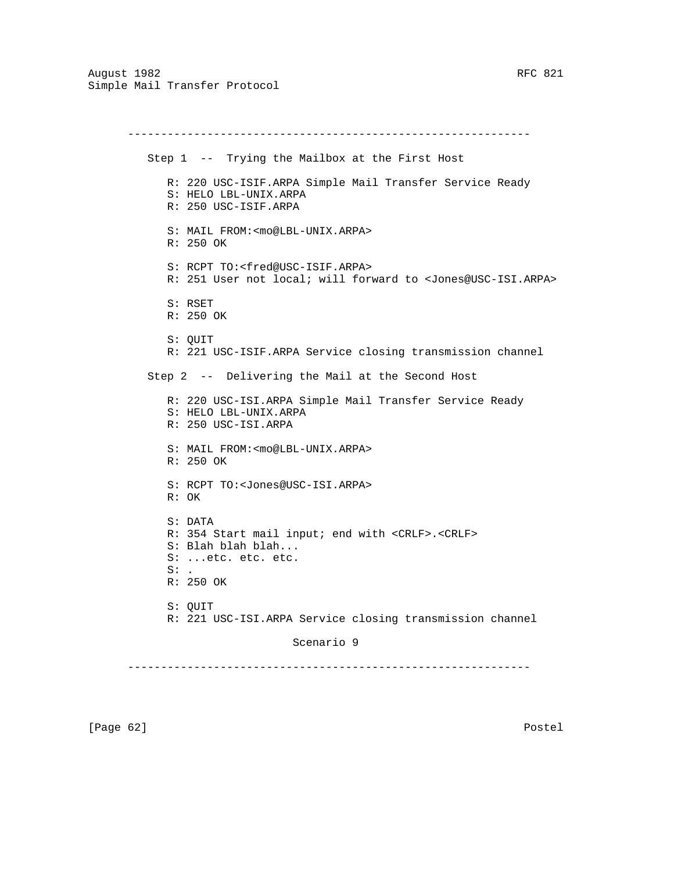------------------------------------------------------------- Step 1 -- Trying the Mailbox at the First Host R: 220 USC-ISIF.ARPA Simple Mail Transfer Service Ready S: HELO LBL-UNIX.ARPA R: 250 USC-ISIF.ARPA S: MAIL FROM:<mo@LBL-UNIX.ARPA> R: 250 OK S: RCPT TO:<fred@USC-ISIF.ARPA> R: 251 User not local; will forward to <Jones@USC-ISI.ARPA> S: RSET R: 250 OK S: QUIT R: 221 USC-ISIF.ARPA Service closing transmission channel Step 2 -- Delivering the Mail at the Second Host R: 220 USC-ISI.ARPA Simple Mail Transfer Service Ready S: HELO LBL-UNIX.ARPA R: 250 USC-ISI.ARPA S: MAIL FROM:<mo@LBL-UNIX.ARPA> R: 250 OK S: RCPT TO:<Jones@USC-ISI.ARPA> R: OK S: DATA R: 354 Start mail input; end with <CRLF>.<CRLF> S: Blah blah blah... S: ...etc. etc. etc.  $S:$  . R: 250 OK S: QUIT R: 221 USC-ISI.ARPA Service closing transmission channel Scenario 9

-------------------------------------------------------------

[Page 62] Postel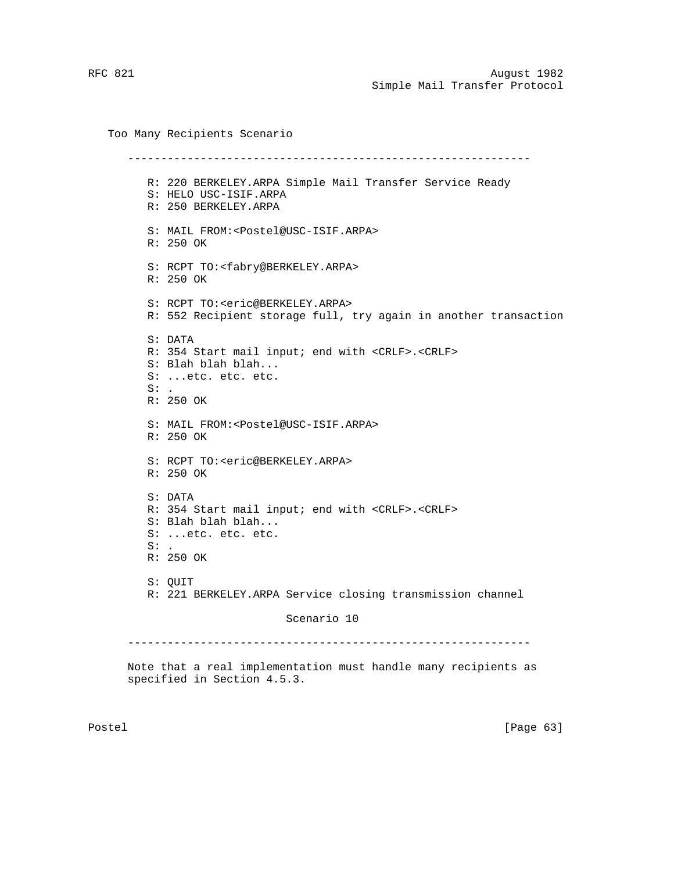Too Many Recipients Scenario ------------------------------------------------------------- R: 220 BERKELEY.ARPA Simple Mail Transfer Service Ready S: HELO USC-ISIF.ARPA R: 250 BERKELEY.ARPA S: MAIL FROM:<Postel@USC-ISIF.ARPA> R: 250 OK S: RCPT TO:<fabry@BERKELEY.ARPA> R: 250 OK S: RCPT TO:<eric@BERKELEY.ARPA> R: 552 Recipient storage full, try again in another transaction S: DATA R: 354 Start mail input; end with <CRLF>.<CRLF> S: Blah blah blah... S: ...etc. etc. etc.  $S:$  R: 250 OK S: MAIL FROM:<Postel@USC-ISIF.ARPA> R: 250 OK S: RCPT TO:<eric@BERKELEY.ARPA> R: 250 OK S: DATA R: 354 Start mail input; end with <CRLF>.<CRLF> S: Blah blah blah... S: ...etc. etc. etc.  $S:$  R: 250 OK S: QUIT R: 221 BERKELEY.ARPA Service closing transmission channel Scenario 10 ------------------------------------------------------------- Note that a real implementation must handle many recipients as

specified in Section 4.5.3.

Postel [Page 63]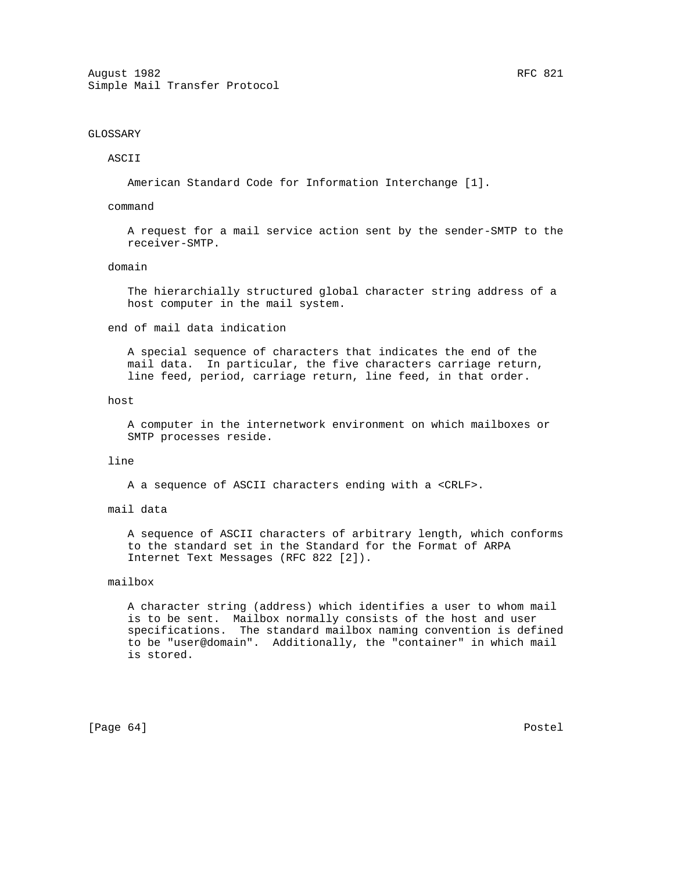# GLOSSARY

## ASCII

American Standard Code for Information Interchange [1].

#### command

 A request for a mail service action sent by the sender-SMTP to the receiver-SMTP.

## domain

 The hierarchially structured global character string address of a host computer in the mail system.

end of mail data indication

 A special sequence of characters that indicates the end of the mail data. In particular, the five characters carriage return, line feed, period, carriage return, line feed, in that order.

#### host

 A computer in the internetwork environment on which mailboxes or SMTP processes reside.

## line

A a sequence of ASCII characters ending with a <CRLF>.

mail data

 A sequence of ASCII characters of arbitrary length, which conforms to the standard set in the Standard for the Format of ARPA Internet Text Messages (RFC 822 [2]).

### mailbox

 A character string (address) which identifies a user to whom mail is to be sent. Mailbox normally consists of the host and user specifications. The standard mailbox naming convention is defined to be "user@domain". Additionally, the "container" in which mail is stored.

[Page 64] Postel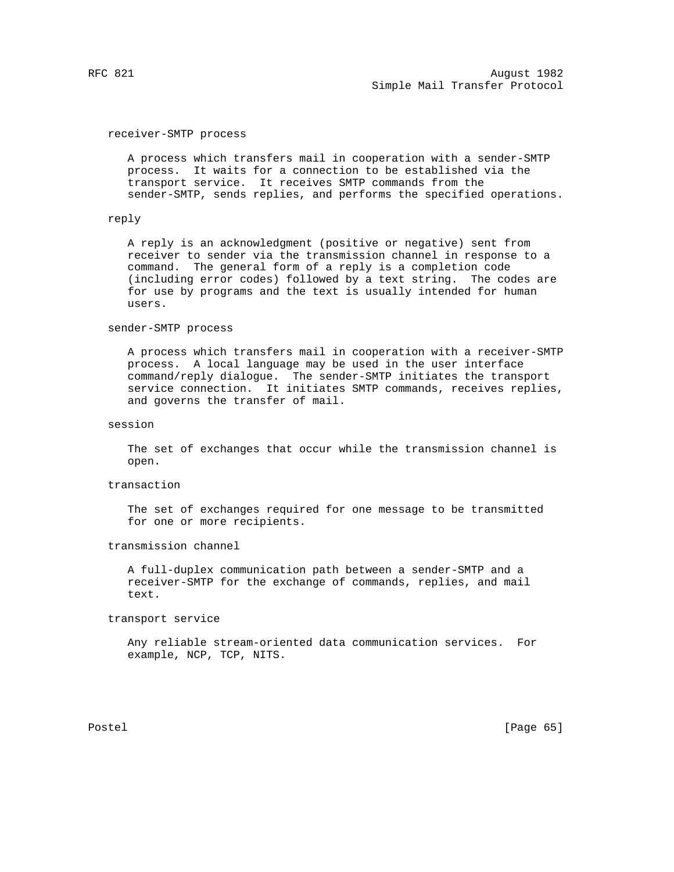### receiver-SMTP process

 A process which transfers mail in cooperation with a sender-SMTP process. It waits for a connection to be established via the transport service. It receives SMTP commands from the sender-SMTP, sends replies, and performs the specified operations.

## reply

 A reply is an acknowledgment (positive or negative) sent from receiver to sender via the transmission channel in response to a command. The general form of a reply is a completion code (including error codes) followed by a text string. The codes are for use by programs and the text is usually intended for human users.

#### sender-SMTP process

 A process which transfers mail in cooperation with a receiver-SMTP process. A local language may be used in the user interface command/reply dialogue. The sender-SMTP initiates the transport service connection. It initiates SMTP commands, receives replies, and governs the transfer of mail.

## session

 The set of exchanges that occur while the transmission channel is open.

## transaction

 The set of exchanges required for one message to be transmitted for one or more recipients.

#### transmission channel

 A full-duplex communication path between a sender-SMTP and a receiver-SMTP for the exchange of commands, replies, and mail text.

#### transport service

 Any reliable stream-oriented data communication services. For example, NCP, TCP, NITS.

Postel [Page 65]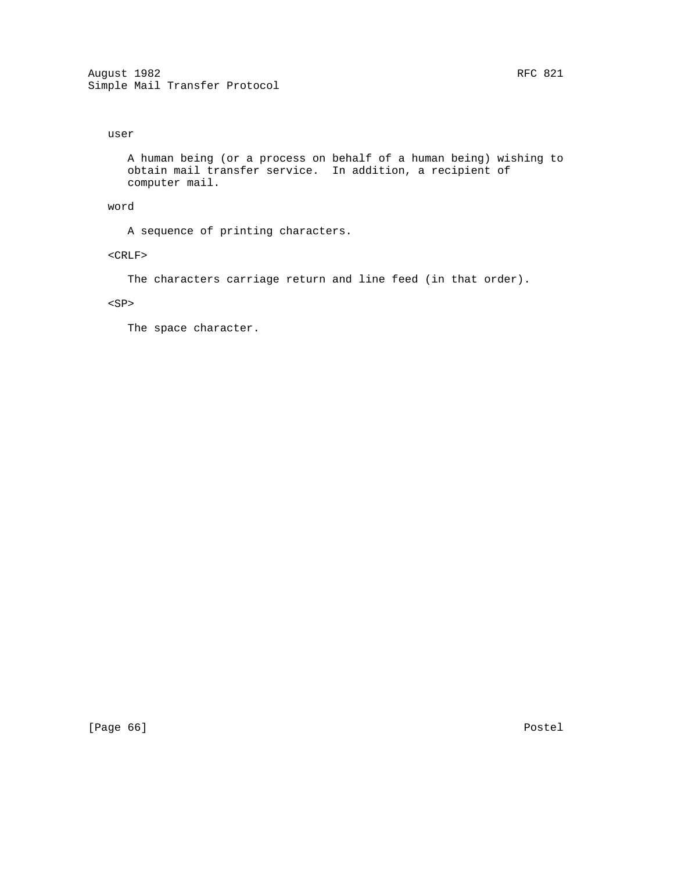# user

 A human being (or a process on behalf of a human being) wishing to obtain mail transfer service. In addition, a recipient of computer mail.

word

A sequence of printing characters.

<CRLF>

The characters carriage return and line feed (in that order).

 $<$ SP $>$ 

The space character.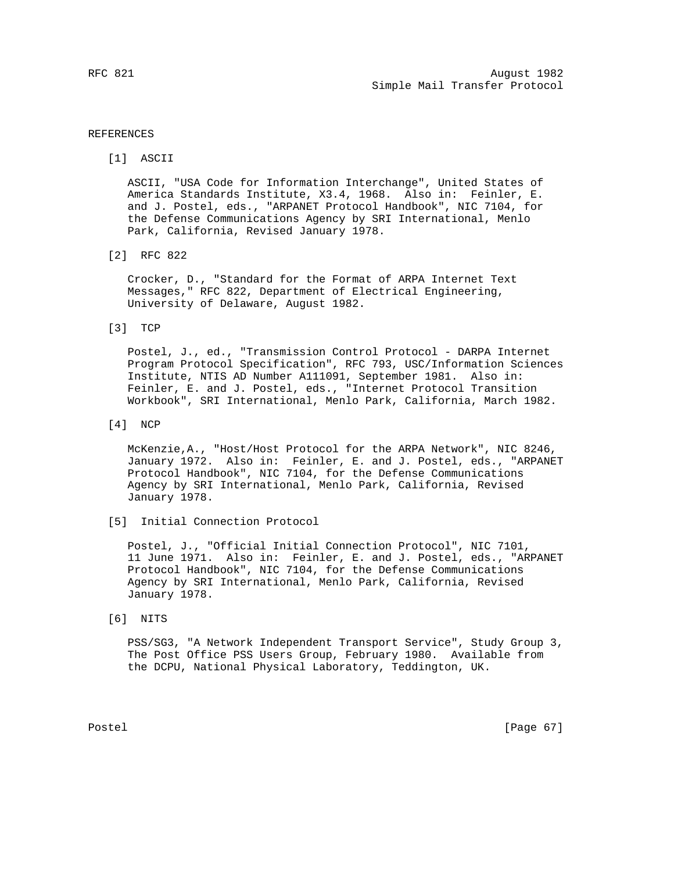## REFERENCES

[1] ASCII

 ASCII, "USA Code for Information Interchange", United States of America Standards Institute, X3.4, 1968. Also in: Feinler, E. and J. Postel, eds., "ARPANET Protocol Handbook", NIC 7104, for the Defense Communications Agency by SRI International, Menlo Park, California, Revised January 1978.

[2] RFC 822

 Crocker, D., "Standard for the Format of ARPA Internet Text Messages," RFC 822, Department of Electrical Engineering, University of Delaware, August 1982.

[3] TCP

 Postel, J., ed., "Transmission Control Protocol - DARPA Internet Program Protocol Specification", RFC 793, USC/Information Sciences Institute, NTIS AD Number A111091, September 1981. Also in: Feinler, E. and J. Postel, eds., "Internet Protocol Transition Workbook", SRI International, Menlo Park, California, March 1982.

[4] NCP

 McKenzie,A., "Host/Host Protocol for the ARPA Network", NIC 8246, January 1972. Also in: Feinler, E. and J. Postel, eds., "ARPANET Protocol Handbook", NIC 7104, for the Defense Communications Agency by SRI International, Menlo Park, California, Revised January 1978.

[5] Initial Connection Protocol

 Postel, J., "Official Initial Connection Protocol", NIC 7101, 11 June 1971. Also in: Feinler, E. and J. Postel, eds., "ARPANET Protocol Handbook", NIC 7104, for the Defense Communications Agency by SRI International, Menlo Park, California, Revised January 1978.

[6] NITS

 PSS/SG3, "A Network Independent Transport Service", Study Group 3, The Post Office PSS Users Group, February 1980. Available from the DCPU, National Physical Laboratory, Teddington, UK.

Postel [Page 67]